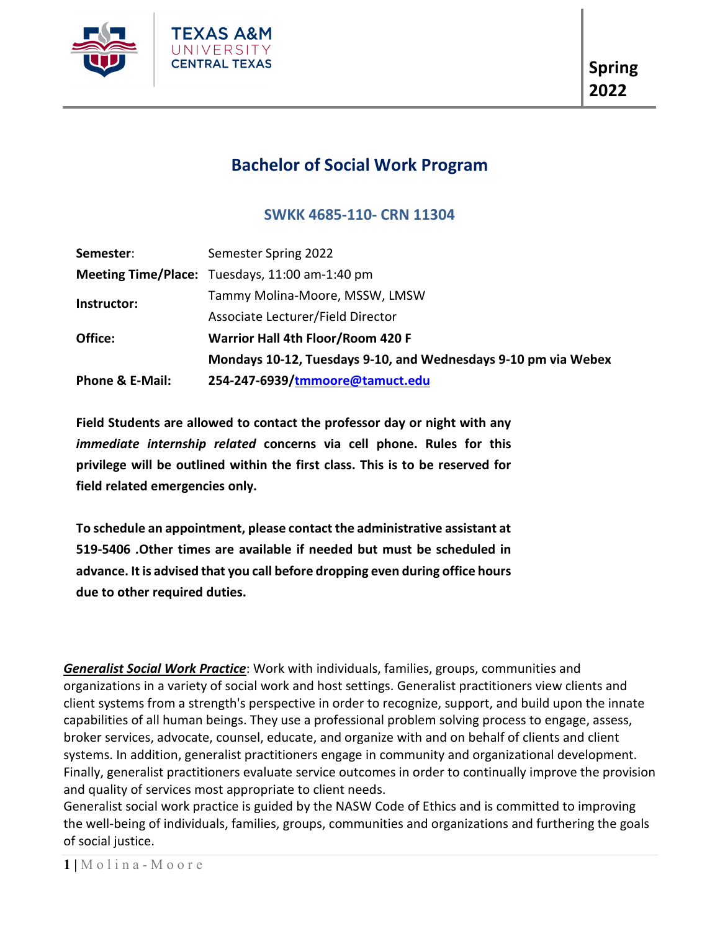

# **Bachelor of Social Work Program**

# **SWKK 4685-110- CRN 11304**

| Semester:                  | Semester Spring 2022                                           |  |
|----------------------------|----------------------------------------------------------------|--|
|                            | Meeting Time/Place: Tuesdays, 11:00 am-1:40 pm                 |  |
| Instructor:                | Tammy Molina-Moore, MSSW, LMSW                                 |  |
|                            | Associate Lecturer/Field Director                              |  |
| Office:                    | <b>Warrior Hall 4th Floor/Room 420 F</b>                       |  |
|                            | Mondays 10-12, Tuesdays 9-10, and Wednesdays 9-10 pm via Webex |  |
| <b>Phone &amp; E-Mail:</b> | 254-247-6939/tmmoore@tamuct.edu                                |  |

**Field Students are allowed to contact the professor day or night with any**  *immediate internship related* **concerns via cell phone. Rules for this privilege will be outlined within the first class. This is to be reserved for field related emergencies only.** 

**To schedule an appointment, please contact the administrative assistant at 519-5406 .Other times are available if needed but must be scheduled in advance. It is advised that you call before dropping even during office hours due to other required duties.** 

*Generalist Social Work Practice*: Work with individuals, families, groups, communities and organizations in a variety of social work and host settings. Generalist practitioners view clients and client systems from a strength's perspective in order to recognize, support, and build upon the innate capabilities of all human beings. They use a professional problem solving process to engage, assess, broker services, advocate, counsel, educate, and organize with and on behalf of clients and client systems. In addition, generalist practitioners engage in community and organizational development. Finally, generalist practitioners evaluate service outcomes in order to continually improve the provision and quality of services most appropriate to client needs.

Generalist social work practice is guided by the NASW Code of Ethics and is committed to improving the well-being of individuals, families, groups, communities and organizations and furthering the goals of social justice.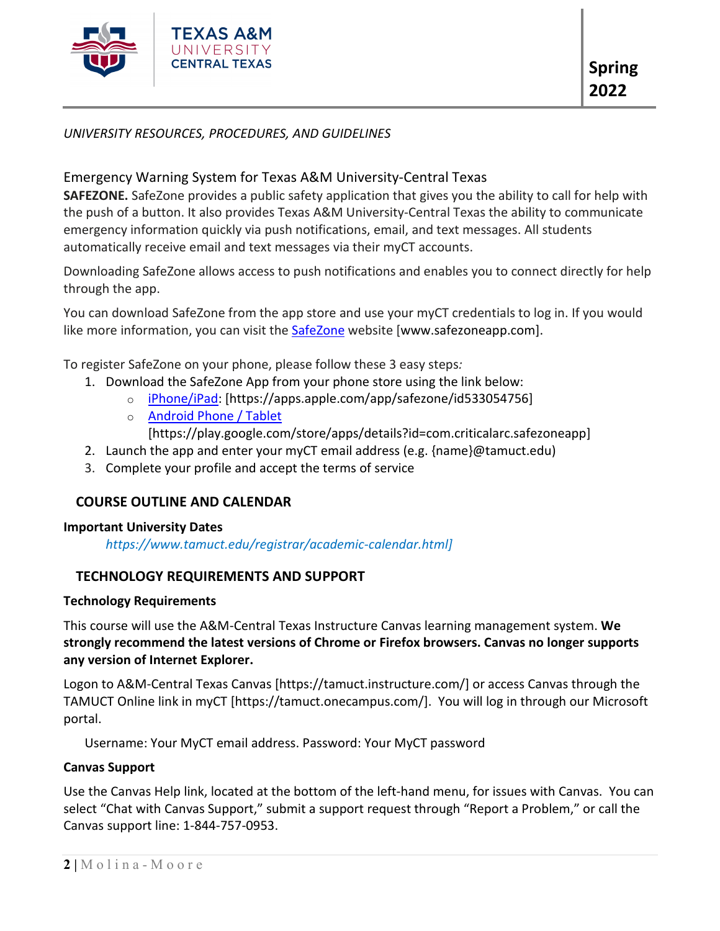

#### *UNIVERSITY RESOURCES, PROCEDURES, AND GUIDELINES*

#### Emergency Warning System for Texas A&M University-Central Texas

**SAFEZONE.** SafeZone provides a public safety application that gives you the ability to call for help with the push of a button. It also provides Texas A&M University-Central Texas the ability to communicate emergency information quickly via push notifications, email, and text messages. All students automatically receive email and text messages via their myCT accounts.

Downloading SafeZone allows access to push notifications and enables you to connect directly for help through the app.

You can download SafeZone from the app store and use your myCT credentials to log in. If you would like more information, you can visit the [SafeZone](http://www.safezoneapp.com/) website [www.safezoneapp.com].

To register SafeZone on your phone, please follow these 3 easy steps*:*

- 1. Download the SafeZone App from your phone store using the link below:
	- o [iPhone/iPad:](https://apps.apple.com/app/safezone/id533054756) [https://apps.apple.com/app/safezone/id533054756]
	- o [Android Phone / Tablet](https://play.google.com/store/apps/details?id=com.criticalarc.safezoneapp)
		- [https://play.google.com/store/apps/details?id=com.criticalarc.safezoneapp]
- 2. Launch the app and enter your myCT email address (e.g. {name}@tamuct.edu)
- 3. Complete your profile and accept the terms of service

#### **COURSE OUTLINE AND CALENDAR**

#### **Important University Dates**

*https://www.tamuct.edu/registrar/academic-calendar.html]*

#### **TECHNOLOGY REQUIREMENTS AND SUPPORT**

#### **Technology Requirements**

This course will use the A&M-Central Texas Instructure Canvas learning management system. **We strongly recommend the latest versions of Chrome or Firefox browsers. Canvas no longer supports any version of Internet Explorer.**

Logon to A&M-Central Texas Canvas [https://tamuct.instructure.com/] or access Canvas through the TAMUCT Online link in myCT [https://tamuct.onecampus.com/]. You will log in through our Microsoft portal.

Username: Your MyCT email address. Password: Your MyCT password

#### **Canvas Support**

Use the Canvas Help link, located at the bottom of the left-hand menu, for issues with Canvas. You can select "Chat with Canvas Support," submit a support request through "Report a Problem," or call the Canvas support line: 1-844-757-0953.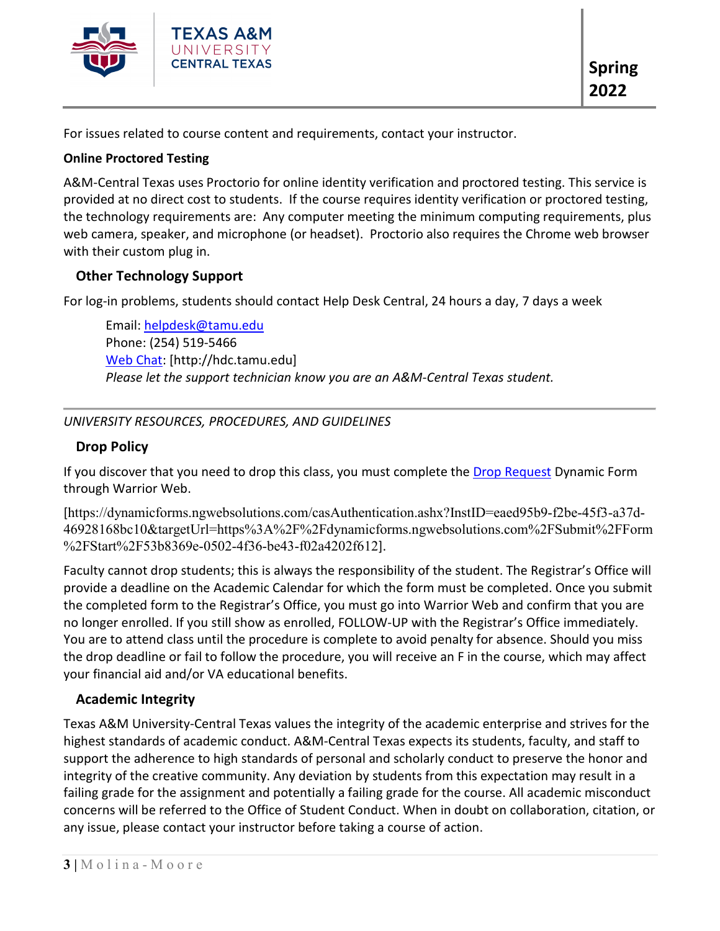

For issues related to course content and requirements, contact your instructor.

#### **Online Proctored Testing**

A&M-Central Texas uses Proctorio for online identity verification and proctored testing. This service is provided at no direct cost to students. If the course requires identity verification or proctored testing, the technology requirements are: Any computer meeting the minimum computing requirements, plus web camera, speaker, and microphone (or headset). Proctorio also requires the Chrome web browser with their custom plug in.

#### **Other Technology Support**

For log-in problems, students should contact Help Desk Central, 24 hours a day, 7 days a week

Email: [helpdesk@tamu.edu](mailto:helpdesk@tamu.edu) Phone: (254) 519-5466 [Web Chat:](http://hdc.tamu.edu/) [http://hdc.tamu.edu] *Please let the support technician know you are an A&M-Central Texas student.*

#### *UNIVERSITY RESOURCES, PROCEDURES, AND GUIDELINES*

#### **Drop Policy**

If you discover that you need to drop this class, you must complete the [Drop Request](https://dynamicforms.ngwebsolutions.com/casAuthentication.ashx?InstID=eaed95b9-f2be-45f3-a37d-46928168bc10&targetUrl=https%3A%2F%2Fdynamicforms.ngwebsolutions.com%2FSubmit%2FForm%2FStart%2F53b8369e-0502-4f36-be43-f02a4202f612) Dynamic Form through Warrior Web.

[https://dynamicforms.ngwebsolutions.com/casAuthentication.ashx?InstID=eaed95b9-f2be-45f3-a37d-46928168bc10&targetUrl=https%3A%2F%2Fdynamicforms.ngwebsolutions.com%2FSubmit%2FForm %2FStart%2F53b8369e-0502-4f36-be43-f02a4202f612].

Faculty cannot drop students; this is always the responsibility of the student. The Registrar's Office will provide a deadline on the Academic Calendar for which the form must be completed. Once you submit the completed form to the Registrar's Office, you must go into Warrior Web and confirm that you are no longer enrolled. If you still show as enrolled, FOLLOW-UP with the Registrar's Office immediately. You are to attend class until the procedure is complete to avoid penalty for absence. Should you miss the drop deadline or fail to follow the procedure, you will receive an F in the course, which may affect your financial aid and/or VA educational benefits.

### **Academic Integrity**

Texas A&M University-Central Texas values the integrity of the academic enterprise and strives for the highest standards of academic conduct. A&M-Central Texas expects its students, faculty, and staff to support the adherence to high standards of personal and scholarly conduct to preserve the honor and integrity of the creative community. Any deviation by students from this expectation may result in a failing grade for the assignment and potentially a failing grade for the course. All academic misconduct concerns will be referred to the Office of Student Conduct. When in doubt on collaboration, citation, or any issue, please contact your instructor before taking a course of action.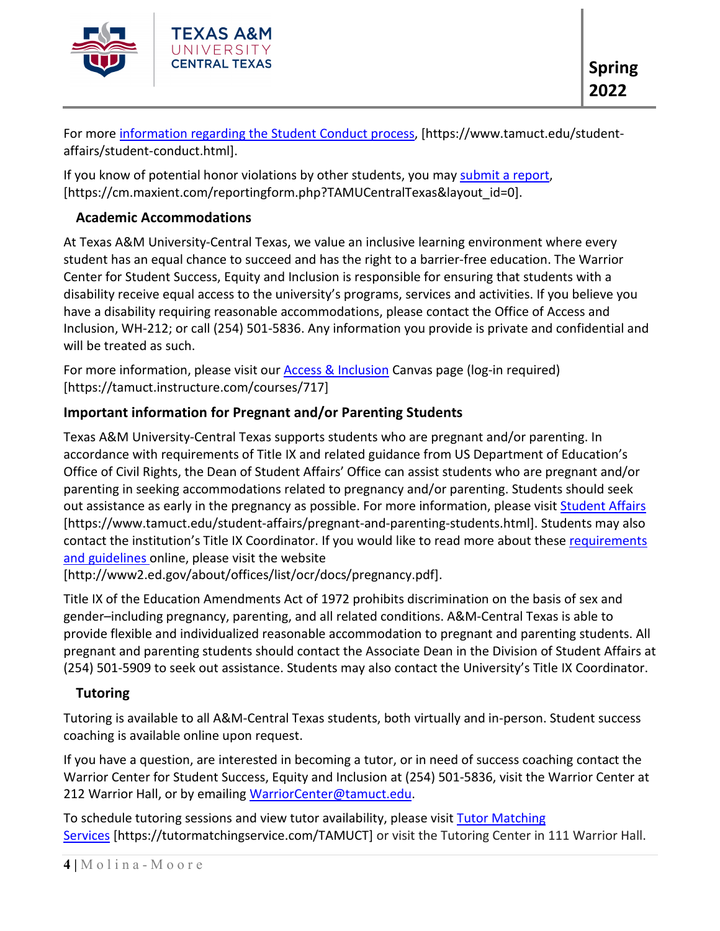

For more [information](https://nam04.safelinks.protection.outlook.com/?url=https%3A%2F%2Fwww.tamuct.edu%2Fstudent-affairs%2Fstudent-conduct.html&data=04%7C01%7Clisa.bunkowski%40tamuct.edu%7Ccfb6e486f24745f53e1a08d910055cb2%7C9eed4e3000f744849ff193ad8005acec%7C0%7C0%7C637558437485252160%7CUnknown%7CTWFpbGZsb3d8eyJWIjoiMC4wLjAwMDAiLCJQIjoiV2luMzIiLCJBTiI6Ik1haWwiLCJXVCI6Mn0%3D%7C1000&sdata=yjftDEVHvLX%2FhM%2FcFU0B99krV1RgEWR%2BJ%2BhvtoR6TYk%3D&reserved=0) regarding the Student Conduct process, [https://www.tamuct.edu/studentaffairs/student-conduct.html].

If you know of potential honor violations by other students, you may [submit](https://nam04.safelinks.protection.outlook.com/?url=https%3A%2F%2Fcm.maxient.com%2Freportingform.php%3FTAMUCentralTexas%26layout_id%3D0&data=04%7C01%7Clisa.bunkowski%40tamuct.edu%7Ccfb6e486f24745f53e1a08d910055cb2%7C9eed4e3000f744849ff193ad8005acec%7C0%7C0%7C637558437485262157%7CUnknown%7CTWFpbGZsb3d8eyJWIjoiMC4wLjAwMDAiLCJQIjoiV2luMzIiLCJBTiI6Ik1haWwiLCJXVCI6Mn0%3D%7C1000&sdata=CXGkOa6uPDPX1IMZ87z3aZDq2n91xfHKu4MMS43Ejjk%3D&reserved=0) a report, [https://cm.maxient.com/reportingform.php?TAMUCentralTexas&layout\_id=0].

#### **Academic Accommodations**

At Texas A&M University-Central Texas, we value an inclusive learning environment where every student has an equal chance to succeed and has the right to a barrier-free education. The Warrior Center for Student Success, Equity and Inclusion is responsible for ensuring that students with a disability receive equal access to the university's programs, services and activities. If you believe you have a disability requiring reasonable accommodations, please contact the Office of Access and Inclusion, WH-212; or call (254) 501-5836. Any information you provide is private and confidential and will be treated as such.

For more information, please visit our [Access & Inclusion](https://tamuct.instructure.com/courses/717) Canvas page (log-in required) [https://tamuct.instructure.com/courses/717]

### **Important information for Pregnant and/or Parenting Students**

Texas A&M University-Central Texas supports students who are pregnant and/or parenting. In accordance with requirements of Title IX and related guidance from US Department of Education's Office of Civil Rights, the Dean of Student Affairs' Office can assist students who are pregnant and/or parenting in seeking accommodations related to pregnancy and/or parenting. Students should seek out assistance as early in the pregnancy as possible. For more information, please visit [Student Affairs](https://www.tamuct.edu/student-affairs/pregnant-and-parenting-students.html) [https://www.tamuct.edu/student-affairs/pregnant-and-parenting-students.html]. Students may also contact the institution's Title IX Coordinator. If you would like to read more about these [requirements](http://www2.ed.gov/about/offices/list/ocr/docs/pregnancy.pdf)  [and guidelines](http://www2.ed.gov/about/offices/list/ocr/docs/pregnancy.pdf) online, please visit the website

[http://www2.ed.gov/about/offices/list/ocr/docs/pregnancy.pdf].

Title IX of the Education Amendments Act of 1972 prohibits discrimination on the basis of sex and gender–including pregnancy, parenting, and all related conditions. A&M-Central Texas is able to provide flexible and individualized reasonable accommodation to pregnant and parenting students. All pregnant and parenting students should contact the Associate Dean in the Division of Student Affairs at (254) 501-5909 to seek out assistance. Students may also contact the University's Title IX Coordinator.

#### **Tutoring**

Tutoring is available to all A&M-Central Texas students, both virtually and in-person. Student success coaching is available online upon request.

If you have a question, are interested in becoming a tutor, or in need of success coaching contact the Warrior Center for Student Success, Equity and Inclusion at (254) 501-5836, visit the Warrior Center at 212 Warrior Hall, or by emailing [WarriorCenter@tamuct.edu.](mailto:WarriorCenter@tamuct.edu)

To schedule tutoring sessions and view tutor availability, please visit Tutor [Matching](https://nam04.safelinks.protection.outlook.com/?url=http%3A%2F%2Fwww.tutormatchingservices.com%2FTAMUCT&data=04%7C01%7Clisa.bunkowski%40tamuct.edu%7C886784139069461670c308d9aa01f55e%7C9eed4e3000f744849ff193ad8005acec%7C0%7C0%7C637727747643427346%7CUnknown%7CTWFpbGZsb3d8eyJWIjoiMC4wLjAwMDAiLCJQIjoiV2luMzIiLCJBTiI6Ik1haWwiLCJXVCI6Mn0%3D%7C3000&sdata=D%2F8HN2bUT1lLPfs5qSqKYlwh8a7pZVy7isM2gppluQE%3D&reserved=0) [Services](https://nam04.safelinks.protection.outlook.com/?url=http%3A%2F%2Fwww.tutormatchingservices.com%2FTAMUCT&data=04%7C01%7Clisa.bunkowski%40tamuct.edu%7C886784139069461670c308d9aa01f55e%7C9eed4e3000f744849ff193ad8005acec%7C0%7C0%7C637727747643427346%7CUnknown%7CTWFpbGZsb3d8eyJWIjoiMC4wLjAwMDAiLCJQIjoiV2luMzIiLCJBTiI6Ik1haWwiLCJXVCI6Mn0%3D%7C3000&sdata=D%2F8HN2bUT1lLPfs5qSqKYlwh8a7pZVy7isM2gppluQE%3D&reserved=0) [https://tutormatchingservice.com/TAMUCT] or visit the Tutoring Center in 111 Warrior Hall.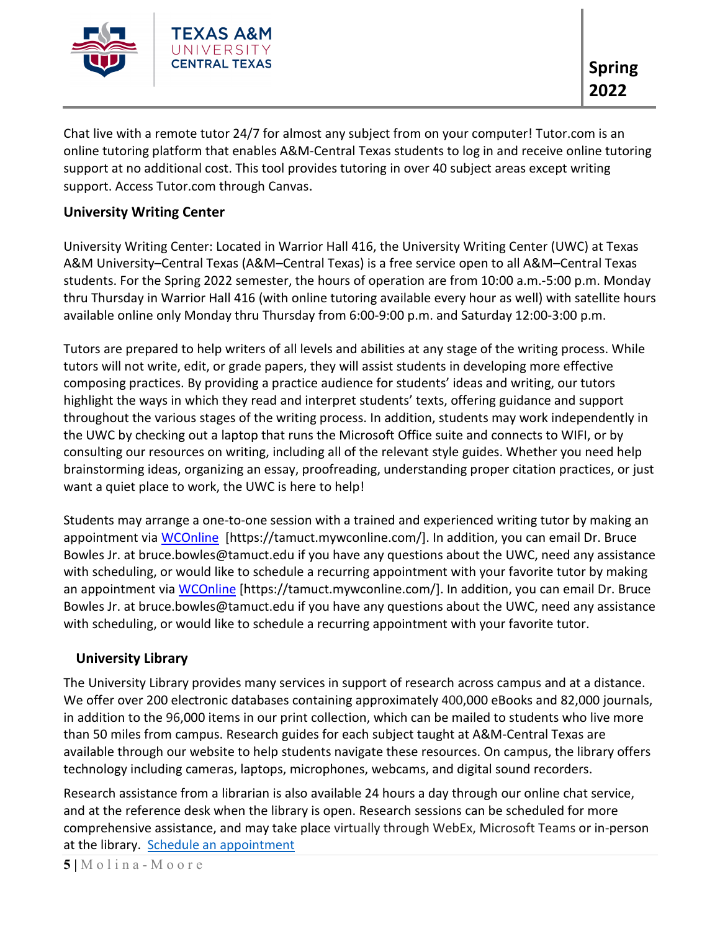

Chat live with a remote tutor 24/7 for almost any subject from on your computer! Tutor.com is an online tutoring platform that enables A&M-Central Texas students to log in and receive online tutoring support at no additional cost. This tool provides tutoring in over 40 subject areas except writing support. Access Tutor.com through Canvas.

#### **University Writing Center**

University Writing Center: Located in Warrior Hall 416, the University Writing Center (UWC) at Texas A&M University–Central Texas (A&M–Central Texas) is a free service open to all A&M–Central Texas students. For the Spring 2022 semester, the hours of operation are from 10:00 a.m.-5:00 p.m. Monday thru Thursday in Warrior Hall 416 (with online tutoring available every hour as well) with satellite hours available online only Monday thru Thursday from 6:00-9:00 p.m. and Saturday 12:00-3:00 p.m.

Tutors are prepared to help writers of all levels and abilities at any stage of the writing process. While tutors will not write, edit, or grade papers, they will assist students in developing more effective composing practices. By providing a practice audience for students' ideas and writing, our tutors highlight the ways in which they read and interpret students' texts, offering guidance and support throughout the various stages of the writing process. In addition, students may work independently in the UWC by checking out a laptop that runs the Microsoft Office suite and connects to WIFI, or by consulting our resources on writing, including all of the relevant style guides. Whether you need help brainstorming ideas, organizing an essay, proofreading, understanding proper citation practices, or just want a quiet place to work, the UWC is here to help!

Students may arrange a one-to-one session with a trained and experienced writing tutor by making an appointment via [WCOnline](https://tamuct.mywconline.com/) [https://tamuct.mywconline.com/]. In addition, you can email Dr. Bruce Bowles Jr. at bruce.bowles@tamuct.edu if you have any questions about the UWC, need any assistance with scheduling, or would like to schedule a recurring appointment with your favorite tutor by making an appointment via [WCOnline](https://tamuct.mywconline.com/) [https://tamuct.mywconline.com/]. In addition, you can email Dr. Bruce Bowles Jr. at bruce.bowles@tamuct.edu if you have any questions about the UWC, need any assistance with scheduling, or would like to schedule a recurring appointment with your favorite tutor.

### **University Library**

The University Library provides many services in support of research across campus and at a distance. We offer over 200 electronic databases containing approximately 400,000 eBooks and 82,000 journals, in addition to the 96,000 items in our print collection, which can be mailed to students who live more than 50 miles from campus. Research guides for each subject taught at A&M-Central Texas are available through our website to help students navigate these resources. On campus, the library offers technology including cameras, laptops, microphones, webcams, and digital sound recorders.

Research assistance from a librarian is also available 24 hours a day through our online chat service, and at the reference desk when the library is open. Research sessions can be scheduled for more comprehensive assistance, and may take place virtually through WebEx, Microsoft Teams or in-person at the library. Schedule an [appointment](https://nam04.safelinks.protection.outlook.com/?url=https%3A%2F%2Ftamuct.libcal.com%2Fappointments%2F%3Fg%3D6956&data=04%7C01%7Clisa.bunkowski%40tamuct.edu%7Cde2c07d9f5804f09518008d9ab7ba6ff%7C9eed4e3000f744849ff193ad8005acec%7C0%7C0%7C637729369835011558%7CUnknown%7CTWFpbGZsb3d8eyJWIjoiMC4wLjAwMDAiLCJQIjoiV2luMzIiLCJBTiI6Ik1haWwiLCJXVCI6Mn0%3D%7C3000&sdata=KhtjgRSAw9aq%2FoBsB6wyu8b7PSuGN5EGPypzr3Ty2No%3D&reserved=0)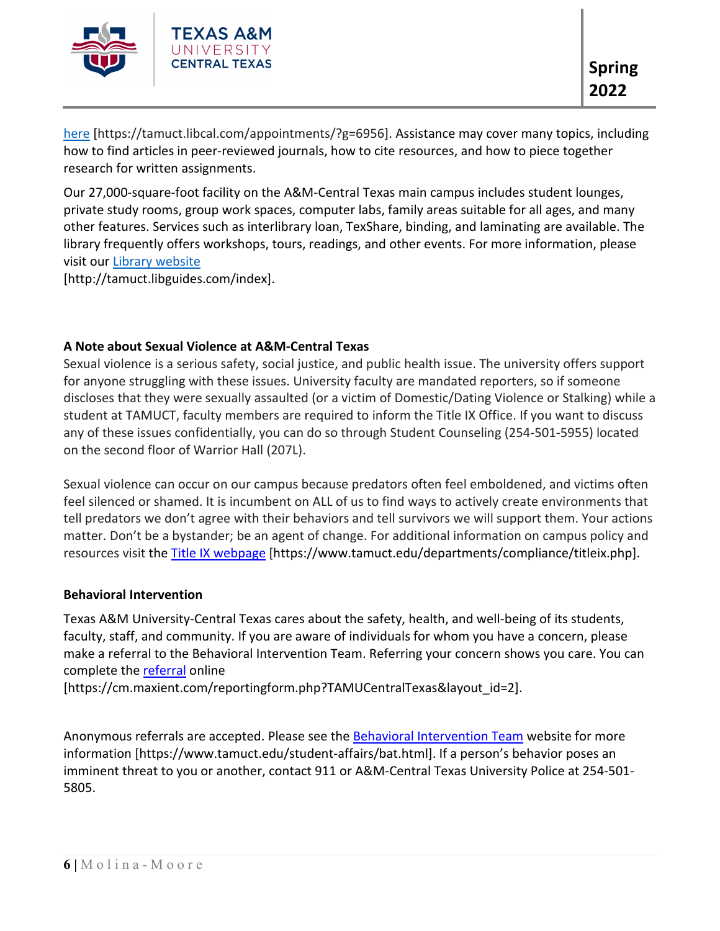

[here](https://nam04.safelinks.protection.outlook.com/?url=https%3A%2F%2Ftamuct.libcal.com%2Fappointments%2F%3Fg%3D6956&data=04%7C01%7Clisa.bunkowski%40tamuct.edu%7Cde2c07d9f5804f09518008d9ab7ba6ff%7C9eed4e3000f744849ff193ad8005acec%7C0%7C0%7C637729369835011558%7CUnknown%7CTWFpbGZsb3d8eyJWIjoiMC4wLjAwMDAiLCJQIjoiV2luMzIiLCJBTiI6Ik1haWwiLCJXVCI6Mn0%3D%7C3000&sdata=KhtjgRSAw9aq%2FoBsB6wyu8b7PSuGN5EGPypzr3Ty2No%3D&reserved=0) [https://tamuct.libcal.com/appointments/?g=6956]. Assistance may cover many topics, including how to find articles in peer-reviewed journals, how to cite resources, and how to piece together research for written assignments.

Our 27,000-square-foot facility on the A&M-Central Texas main campus includes student lounges, private study rooms, group work spaces, computer labs, family areas suitable for all ages, and many other features. Services such as interlibrary loan, TexShare, binding, and laminating are available. The library frequently offers workshops, tours, readings, and other events. For more information, please visit our Library [website](https://nam04.safelinks.protection.outlook.com/?url=https%3A%2F%2Ftamuct.libguides.com%2Findex&data=04%7C01%7Clisa.bunkowski%40tamuct.edu%7C7d8489e8839a4915335f08d916f067f2%7C9eed4e3000f744849ff193ad8005acec%7C0%7C0%7C637566044056484222%7CUnknown%7CTWFpbGZsb3d8eyJWIjoiMC4wLjAwMDAiLCJQIjoiV2luMzIiLCJBTiI6Ik1haWwiLCJXVCI6Mn0%3D%7C1000&sdata=2R755V6rcIyedGrd4Os5rkgn1PvhHKU3kUV1vBKiHFo%3D&reserved=0)

[http://tamuct.libguides.com/index].

#### **A Note about Sexual Violence at A&M-Central Texas**

Sexual violence is a serious safety, social justice, and public health issue. The university offers support for anyone struggling with these issues. University faculty are mandated reporters, so if someone discloses that they were sexually assaulted (or a victim of Domestic/Dating Violence or Stalking) while a student at TAMUCT, faculty members are required to inform the Title IX Office. If you want to discuss any of these issues confidentially, you can do so through Student Counseling (254-501-5955) located on the second floor of Warrior Hall (207L).

Sexual violence can occur on our campus because predators often feel emboldened, and victims often feel silenced or shamed. It is incumbent on ALL of us to find ways to actively create environments that tell predators we don't agree with their behaviors and tell survivors we will support them. Your actions matter. Don't be a bystander; be an agent of change. For additional information on campus policy and resources visit the [Title IX webpage](https://www.tamuct.edu/departments/compliance/titleix.php) [https://www.tamuct.edu/departments/compliance/titleix.php].

#### **Behavioral Intervention**

Texas A&M University-Central Texas cares about the safety, health, and well-being of its students, faculty, staff, and community. If you are aware of individuals for whom you have a concern, please make a referral to the Behavioral Intervention Team. Referring your concern shows you care. You can complete th[e referral](https://cm.maxient.com/reportingform.php?TAMUCentralTexas&layout_id=2) online

[https://cm.maxient.com/reportingform.php?TAMUCentralTexas&layout\_id=2].

Anonymous referrals are accepted. Please see the [Behavioral Intervention Team](https://www.tamuct.edu/student-affairs/bat.html) website for more information [https://www.tamuct.edu/student-affairs/bat.html]. If a person's behavior poses an imminent threat to you or another, contact 911 or A&M-Central Texas University Police at 254-501- 5805.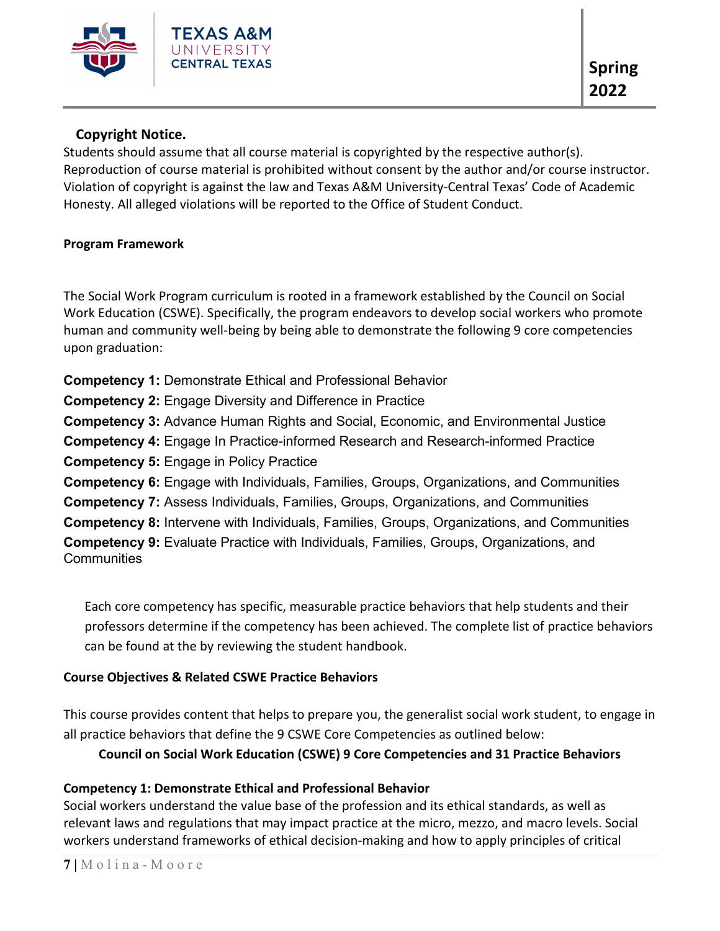

#### **Copyright Notice.**

Students should assume that all course material is copyrighted by the respective author(s). Reproduction of course material is prohibited without consent by the author and/or course instructor. Violation of copyright is against the law and Texas A&M University-Central Texas' Code of Academic Honesty. All alleged violations will be reported to the Office of Student Conduct.

#### **Program Framework**

The Social Work Program curriculum is rooted in a framework established by the Council on Social Work Education (CSWE). Specifically, the program endeavors to develop social workers who promote human and community well-being by being able to demonstrate the following 9 core competencies upon graduation:

**Competency 1:** Demonstrate Ethical and Professional Behavior

**Competency 2:** Engage Diversity and Difference in Practice

**Competency 3:** Advance Human Rights and Social, Economic, and Environmental Justice

**Competency 4:** Engage In Practice-informed Research and Research-informed Practice

**Competency 5:** Engage in Policy Practice

**Competency 6:** Engage with Individuals, Families, Groups, Organizations, and Communities

**Competency 7:** Assess Individuals, Families, Groups, Organizations, and Communities

**Competency 8:** Intervene with Individuals, Families, Groups, Organizations, and Communities

**Competency 9:** Evaluate Practice with Individuals, Families, Groups, Organizations, and **Communities** 

Each core competency has specific, measurable practice behaviors that help students and their professors determine if the competency has been achieved. The complete list of practice behaviors can be found at the by reviewing the student handbook.

#### **Course Objectives & Related CSWE Practice Behaviors**

This course provides content that helps to prepare you, the generalist social work student, to engage in all practice behaviors that define the 9 CSWE Core Competencies as outlined below:

**Council on Social Work Education (CSWE) 9 Core Competencies and 31 Practice Behaviors**

### **Competency 1: Demonstrate Ethical and Professional Behavior**

Social workers understand the value base of the profession and its ethical standards, as well as relevant laws and regulations that may impact practice at the micro, mezzo, and macro levels. Social workers understand frameworks of ethical decision-making and how to apply principles of critical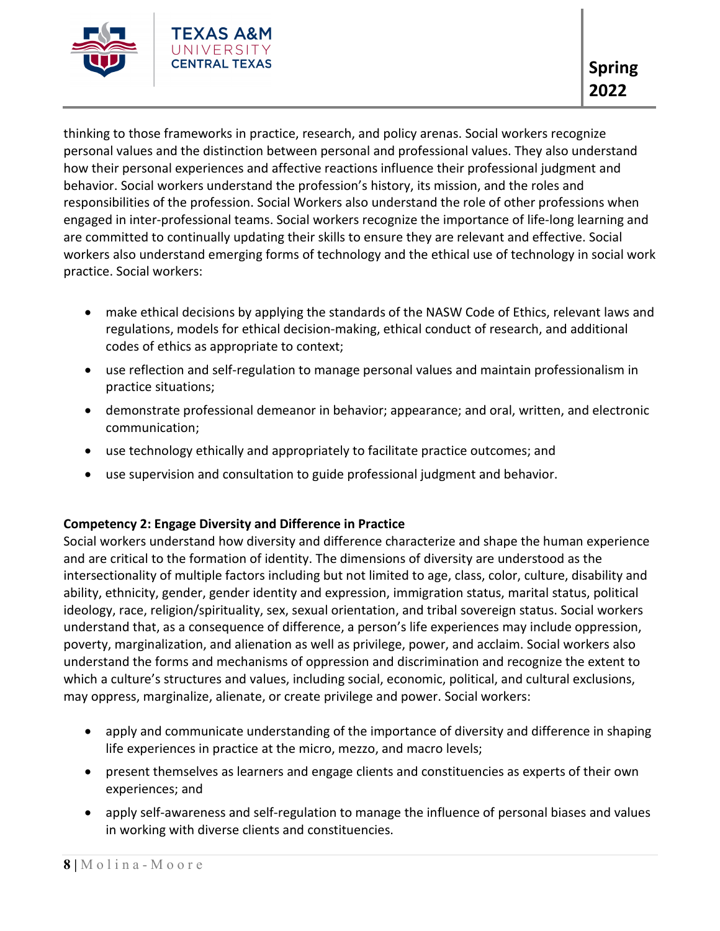

thinking to those frameworks in practice, research, and policy arenas. Social workers recognize personal values and the distinction between personal and professional values. They also understand how their personal experiences and affective reactions influence their professional judgment and behavior. Social workers understand the profession's history, its mission, and the roles and responsibilities of the profession. Social Workers also understand the role of other professions when engaged in inter-professional teams. Social workers recognize the importance of life-long learning and are committed to continually updating their skills to ensure they are relevant and effective. Social workers also understand emerging forms of technology and the ethical use of technology in social work practice. Social workers:

- make ethical decisions by applying the standards of the NASW Code of Ethics, relevant laws and regulations, models for ethical decision-making, ethical conduct of research, and additional codes of ethics as appropriate to context;
- use reflection and self-regulation to manage personal values and maintain professionalism in practice situations;
- demonstrate professional demeanor in behavior; appearance; and oral, written, and electronic communication;
- use technology ethically and appropriately to facilitate practice outcomes; and
- use supervision and consultation to guide professional judgment and behavior.

### **Competency 2: Engage Diversity and Difference in Practice**

Social workers understand how diversity and difference characterize and shape the human experience and are critical to the formation of identity. The dimensions of diversity are understood as the intersectionality of multiple factors including but not limited to age, class, color, culture, disability and ability, ethnicity, gender, gender identity and expression, immigration status, marital status, political ideology, race, religion/spirituality, sex, sexual orientation, and tribal sovereign status. Social workers understand that, as a consequence of difference, a person's life experiences may include oppression, poverty, marginalization, and alienation as well as privilege, power, and acclaim. Social workers also understand the forms and mechanisms of oppression and discrimination and recognize the extent to which a culture's structures and values, including social, economic, political, and cultural exclusions, may oppress, marginalize, alienate, or create privilege and power. Social workers:

- apply and communicate understanding of the importance of diversity and difference in shaping life experiences in practice at the micro, mezzo, and macro levels;
- present themselves as learners and engage clients and constituencies as experts of their own experiences; and
- apply self-awareness and self-regulation to manage the influence of personal biases and values in working with diverse clients and constituencies.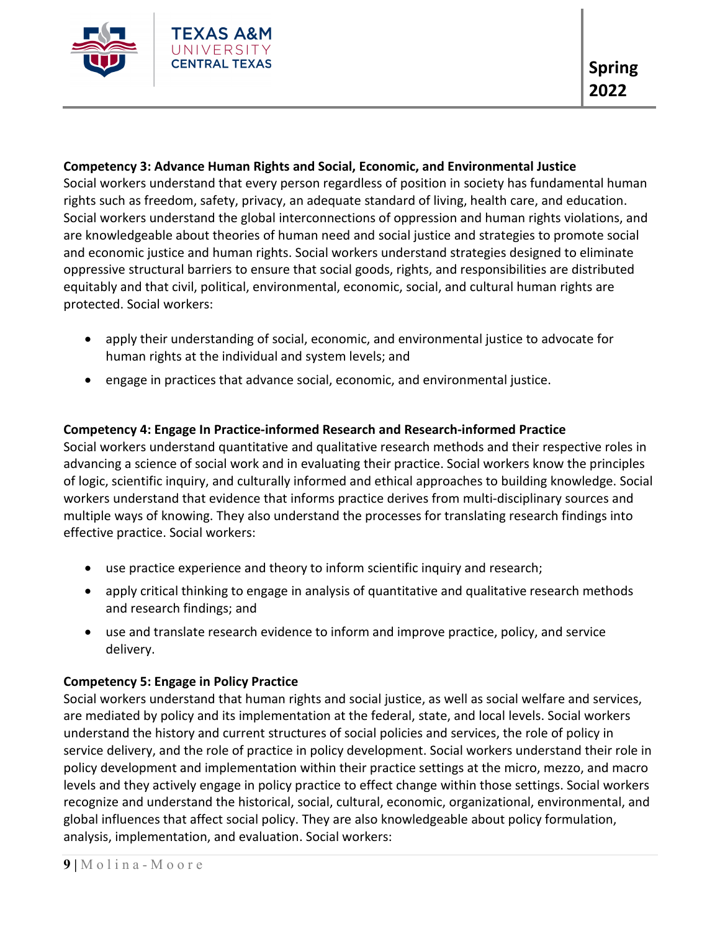

#### **Competency 3: Advance Human Rights and Social, Economic, and Environmental Justice**

Social workers understand that every person regardless of position in society has fundamental human rights such as freedom, safety, privacy, an adequate standard of living, health care, and education. Social workers understand the global interconnections of oppression and human rights violations, and are knowledgeable about theories of human need and social justice and strategies to promote social and economic justice and human rights. Social workers understand strategies designed to eliminate oppressive structural barriers to ensure that social goods, rights, and responsibilities are distributed equitably and that civil, political, environmental, economic, social, and cultural human rights are protected. Social workers:

- apply their understanding of social, economic, and environmental justice to advocate for human rights at the individual and system levels; and
- engage in practices that advance social, economic, and environmental justice.

#### **Competency 4: Engage In Practice-informed Research and Research-informed Practice**

Social workers understand quantitative and qualitative research methods and their respective roles in advancing a science of social work and in evaluating their practice. Social workers know the principles of logic, scientific inquiry, and culturally informed and ethical approaches to building knowledge. Social workers understand that evidence that informs practice derives from multi-disciplinary sources and multiple ways of knowing. They also understand the processes for translating research findings into effective practice. Social workers:

- use practice experience and theory to inform scientific inquiry and research;
- apply critical thinking to engage in analysis of quantitative and qualitative research methods and research findings; and
- use and translate research evidence to inform and improve practice, policy, and service delivery.

#### **Competency 5: Engage in Policy Practice**

Social workers understand that human rights and social justice, as well as social welfare and services, are mediated by policy and its implementation at the federal, state, and local levels. Social workers understand the history and current structures of social policies and services, the role of policy in service delivery, and the role of practice in policy development. Social workers understand their role in policy development and implementation within their practice settings at the micro, mezzo, and macro levels and they actively engage in policy practice to effect change within those settings. Social workers recognize and understand the historical, social, cultural, economic, organizational, environmental, and global influences that affect social policy. They are also knowledgeable about policy formulation, analysis, implementation, and evaluation. Social workers: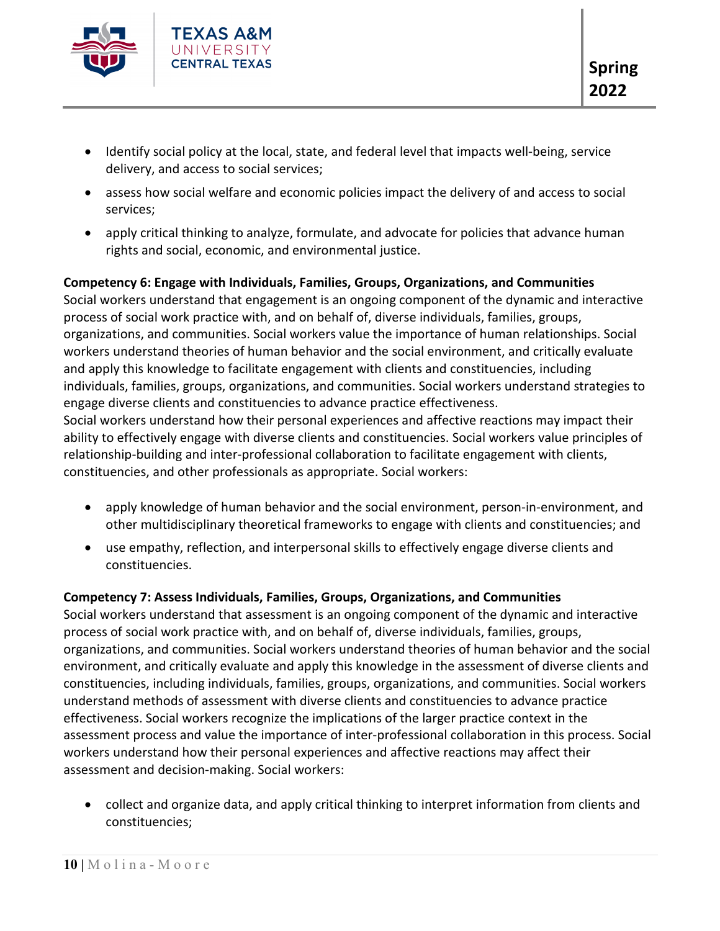

- Identify social policy at the local, state, and federal level that impacts well-being, service delivery, and access to social services;
- assess how social welfare and economic policies impact the delivery of and access to social services;
- apply critical thinking to analyze, formulate, and advocate for policies that advance human rights and social, economic, and environmental justice.

#### **Competency 6: Engage with Individuals, Families, Groups, Organizations, and Communities**

Social workers understand that engagement is an ongoing component of the dynamic and interactive process of social work practice with, and on behalf of, diverse individuals, families, groups, organizations, and communities. Social workers value the importance of human relationships. Social workers understand theories of human behavior and the social environment, and critically evaluate and apply this knowledge to facilitate engagement with clients and constituencies, including individuals, families, groups, organizations, and communities. Social workers understand strategies to engage diverse clients and constituencies to advance practice effectiveness. Social workers understand how their personal experiences and affective reactions may impact their ability to effectively engage with diverse clients and constituencies. Social workers value principles of relationship-building and inter-professional collaboration to facilitate engagement with clients, constituencies, and other professionals as appropriate. Social workers:

- apply knowledge of human behavior and the social environment, person-in-environment, and other multidisciplinary theoretical frameworks to engage with clients and constituencies; and
- use empathy, reflection, and interpersonal skills to effectively engage diverse clients and constituencies.

#### **Competency 7: Assess Individuals, Families, Groups, Organizations, and Communities**

Social workers understand that assessment is an ongoing component of the dynamic and interactive process of social work practice with, and on behalf of, diverse individuals, families, groups, organizations, and communities. Social workers understand theories of human behavior and the social environment, and critically evaluate and apply this knowledge in the assessment of diverse clients and constituencies, including individuals, families, groups, organizations, and communities. Social workers understand methods of assessment with diverse clients and constituencies to advance practice effectiveness. Social workers recognize the implications of the larger practice context in the assessment process and value the importance of inter-professional collaboration in this process. Social workers understand how their personal experiences and affective reactions may affect their assessment and decision-making. Social workers:

• collect and organize data, and apply critical thinking to interpret information from clients and constituencies;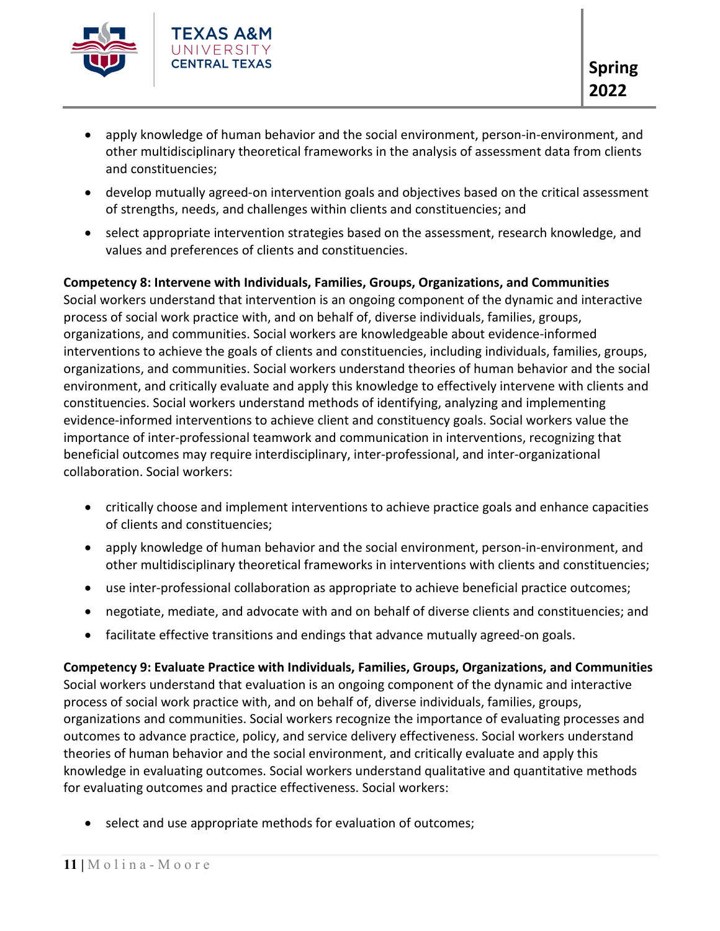

- apply knowledge of human behavior and the social environment, person-in-environment, and other multidisciplinary theoretical frameworks in the analysis of assessment data from clients and constituencies;
- develop mutually agreed-on intervention goals and objectives based on the critical assessment of strengths, needs, and challenges within clients and constituencies; and
- select appropriate intervention strategies based on the assessment, research knowledge, and values and preferences of clients and constituencies.

#### **Competency 8: Intervene with Individuals, Families, Groups, Organizations, and Communities**

Social workers understand that intervention is an ongoing component of the dynamic and interactive process of social work practice with, and on behalf of, diverse individuals, families, groups, organizations, and communities. Social workers are knowledgeable about evidence-informed interventions to achieve the goals of clients and constituencies, including individuals, families, groups, organizations, and communities. Social workers understand theories of human behavior and the social environment, and critically evaluate and apply this knowledge to effectively intervene with clients and constituencies. Social workers understand methods of identifying, analyzing and implementing evidence-informed interventions to achieve client and constituency goals. Social workers value the importance of inter-professional teamwork and communication in interventions, recognizing that beneficial outcomes may require interdisciplinary, inter-professional, and inter-organizational collaboration. Social workers:

- critically choose and implement interventions to achieve practice goals and enhance capacities of clients and constituencies;
- apply knowledge of human behavior and the social environment, person-in-environment, and other multidisciplinary theoretical frameworks in interventions with clients and constituencies;
- use inter-professional collaboration as appropriate to achieve beneficial practice outcomes;
- negotiate, mediate, and advocate with and on behalf of diverse clients and constituencies; and
- facilitate effective transitions and endings that advance mutually agreed-on goals.

**Competency 9: Evaluate Practice with Individuals, Families, Groups, Organizations, and Communities** Social workers understand that evaluation is an ongoing component of the dynamic and interactive process of social work practice with, and on behalf of, diverse individuals, families, groups, organizations and communities. Social workers recognize the importance of evaluating processes and outcomes to advance practice, policy, and service delivery effectiveness. Social workers understand theories of human behavior and the social environment, and critically evaluate and apply this knowledge in evaluating outcomes. Social workers understand qualitative and quantitative methods for evaluating outcomes and practice effectiveness. Social workers:

select and use appropriate methods for evaluation of outcomes;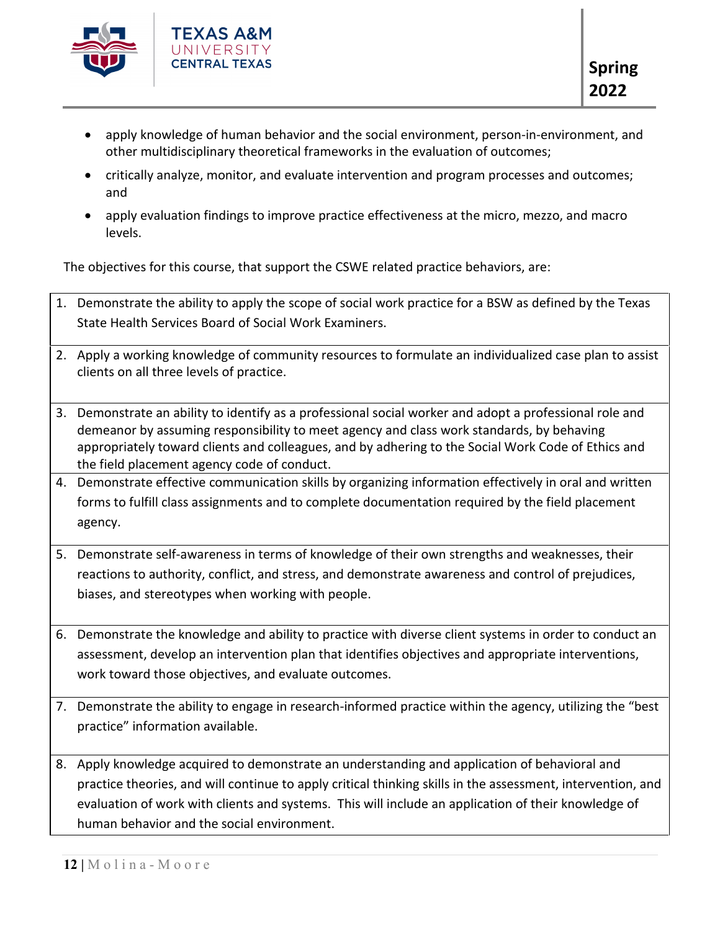

- apply knowledge of human behavior and the social environment, person-in-environment, and other multidisciplinary theoretical frameworks in the evaluation of outcomes;
- critically analyze, monitor, and evaluate intervention and program processes and outcomes; and
- apply evaluation findings to improve practice effectiveness at the micro, mezzo, and macro levels.

The objectives for this course, that support the CSWE related practice behaviors, are:

- 1. Demonstrate the ability to apply the scope of social work practice for a BSW as defined by the Texas State Health Services Board of Social Work Examiners. 2. Apply a working knowledge of community resources to formulate an individualized case plan to assist clients on all three levels of practice. 3. Demonstrate an ability to identify as a professional social worker and adopt a professional role and demeanor by assuming responsibility to meet agency and class work standards, by behaving appropriately toward clients and colleagues, and by adhering to the Social Work Code of Ethics and the field placement agency code of conduct. 4. Demonstrate effective communication skills by organizing information effectively in oral and written forms to fulfill class assignments and to complete documentation required by the field placement agency. 5. Demonstrate self-awareness in terms of knowledge of their own strengths and weaknesses, their reactions to authority, conflict, and stress, and demonstrate awareness and control of prejudices, biases, and stereotypes when working with people. 6. Demonstrate the knowledge and ability to practice with diverse client systems in order to conduct an assessment, develop an intervention plan that identifies objectives and appropriate interventions, work toward those objectives, and evaluate outcomes. 7. Demonstrate the ability to engage in research-informed practice within the agency, utilizing the "best practice" information available.
- 8. Apply knowledge acquired to demonstrate an understanding and application of behavioral and practice theories, and will continue to apply critical thinking skills in the assessment, intervention, and evaluation of work with clients and systems. This will include an application of their knowledge of human behavior and the social environment.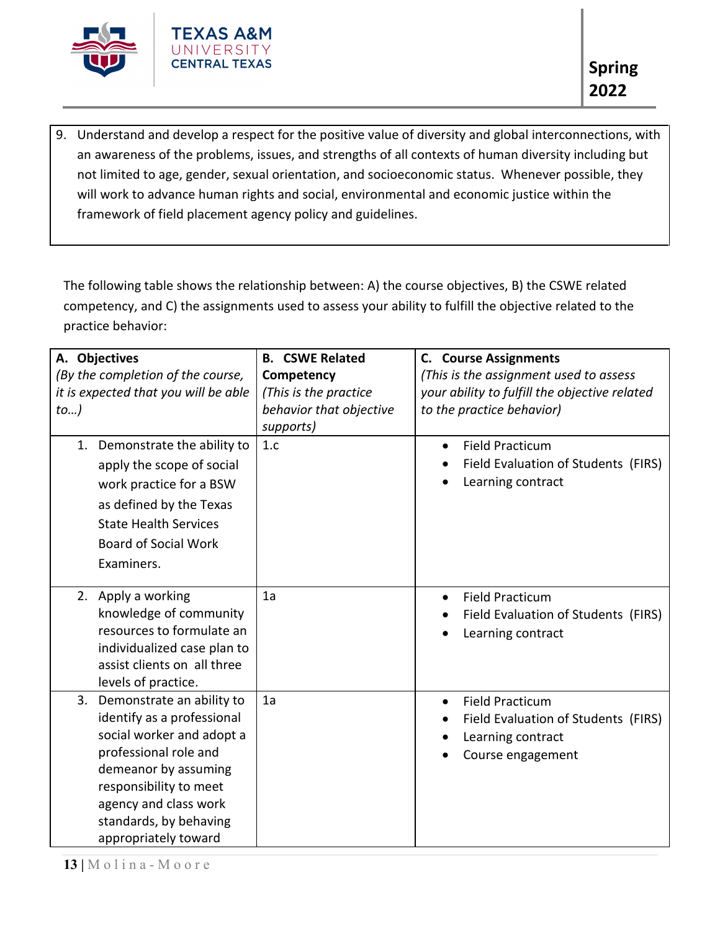



9. Understand and develop a respect for the positive value of diversity and global interconnections, with an awareness of the problems, issues, and strengths of all contexts of human diversity including but not limited to age, gender, sexual orientation, and socioeconomic status. Whenever possible, they will work to advance human rights and social, environmental and economic justice within the framework of field placement agency policy and guidelines.

The following table shows the relationship between: A) the course objectives, B) the CSWE related competency, and C) the assignments used to assess your ability to fulfill the objective related to the practice behavior:

| A. Objectives                                              | <b>B. CSWE Related</b>  | <b>C.</b> Course Assignments                  |
|------------------------------------------------------------|-------------------------|-----------------------------------------------|
| (By the completion of the course,                          | Competency              | (This is the assignment used to assess        |
| it is expected that you will be able                       | (This is the practice   | your ability to fulfill the objective related |
| $to$ )                                                     | behavior that objective | to the practice behavior)                     |
|                                                            | supports)               |                                               |
| 1. Demonstrate the ability to                              | 1.c                     | <b>Field Practicum</b><br>$\bullet$           |
| apply the scope of social                                  |                         | Field Evaluation of Students (FIRS)           |
| work practice for a BSW                                    |                         | Learning contract                             |
| as defined by the Texas                                    |                         |                                               |
| <b>State Health Services</b>                               |                         |                                               |
| <b>Board of Social Work</b>                                |                         |                                               |
| Examiners.                                                 |                         |                                               |
|                                                            |                         |                                               |
| 2. Apply a working                                         | 1a                      | <b>Field Practicum</b><br>$\bullet$           |
| knowledge of community                                     |                         | Field Evaluation of Students (FIRS)           |
| resources to formulate an                                  |                         | Learning contract                             |
| individualized case plan to<br>assist clients on all three |                         |                                               |
|                                                            |                         |                                               |
| levels of practice.<br>Demonstrate an ability to<br>3.     | 1a                      | <b>Field Practicum</b>                        |
| identify as a professional                                 |                         | $\bullet$                                     |
| social worker and adopt a                                  |                         | Field Evaluation of Students (FIRS)           |
| professional role and                                      |                         | Learning contract                             |
| demeanor by assuming                                       |                         | Course engagement                             |
| responsibility to meet                                     |                         |                                               |
| agency and class work                                      |                         |                                               |
| standards, by behaving                                     |                         |                                               |
| appropriately toward                                       |                         |                                               |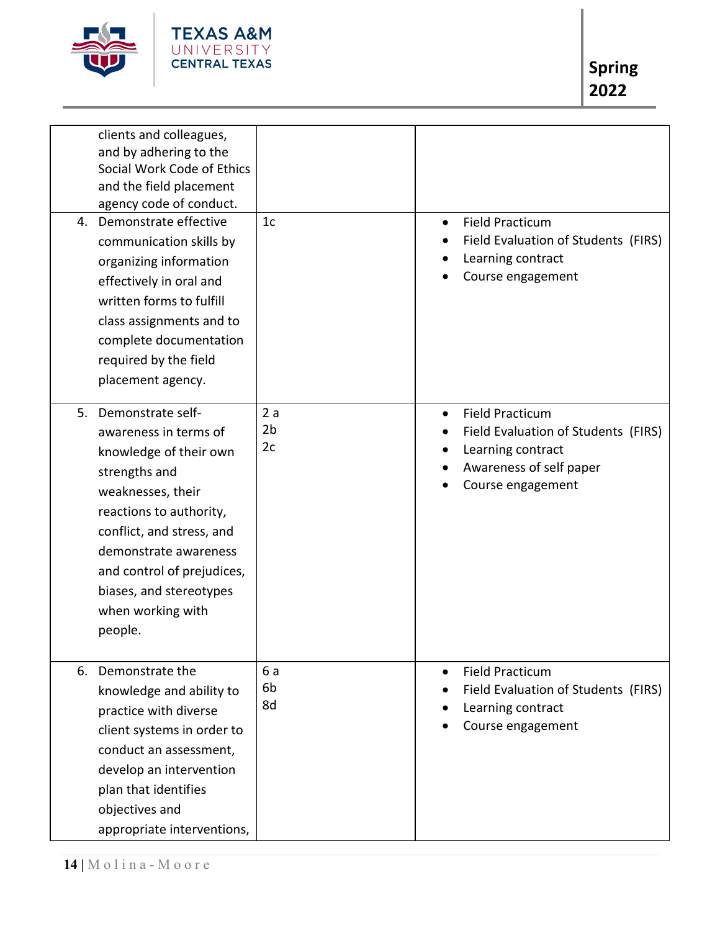



| clients and colleagues,<br>and by adhering to the<br>Social Work Code of Ethics<br>and the field placement<br>agency code of conduct.<br>4. Demonstrate effective<br>communication skills by<br>organizing information<br>effectively in oral and<br>written forms to fulfill<br>class assignments and to<br>complete documentation<br>required by the field<br>placement agency. | 1 <sub>c</sub>             | <b>Field Practicum</b><br>$\bullet$<br>Field Evaluation of Students (FIRS)<br>Learning contract<br>Course engagement                            |
|-----------------------------------------------------------------------------------------------------------------------------------------------------------------------------------------------------------------------------------------------------------------------------------------------------------------------------------------------------------------------------------|----------------------------|-------------------------------------------------------------------------------------------------------------------------------------------------|
| 5. Demonstrate self-<br>awareness in terms of<br>knowledge of their own<br>strengths and<br>weaknesses, their<br>reactions to authority,<br>conflict, and stress, and<br>demonstrate awareness<br>and control of prejudices,<br>biases, and stereotypes<br>when working with<br>people.                                                                                           | 2a<br>2 <sub>b</sub><br>2c | <b>Field Practicum</b><br>$\bullet$<br>Field Evaluation of Students (FIRS)<br>Learning contract<br>Awareness of self paper<br>Course engagement |
| 6. Demonstrate the<br>knowledge and ability to<br>practice with diverse<br>client systems in order to<br>conduct an assessment,<br>develop an intervention<br>plan that identifies<br>objectives and<br>appropriate interventions,                                                                                                                                                | 6a<br>6b<br>8d             | <b>Field Practicum</b><br>$\bullet$<br>Field Evaluation of Students (FIRS)<br>Learning contract<br>Course engagement                            |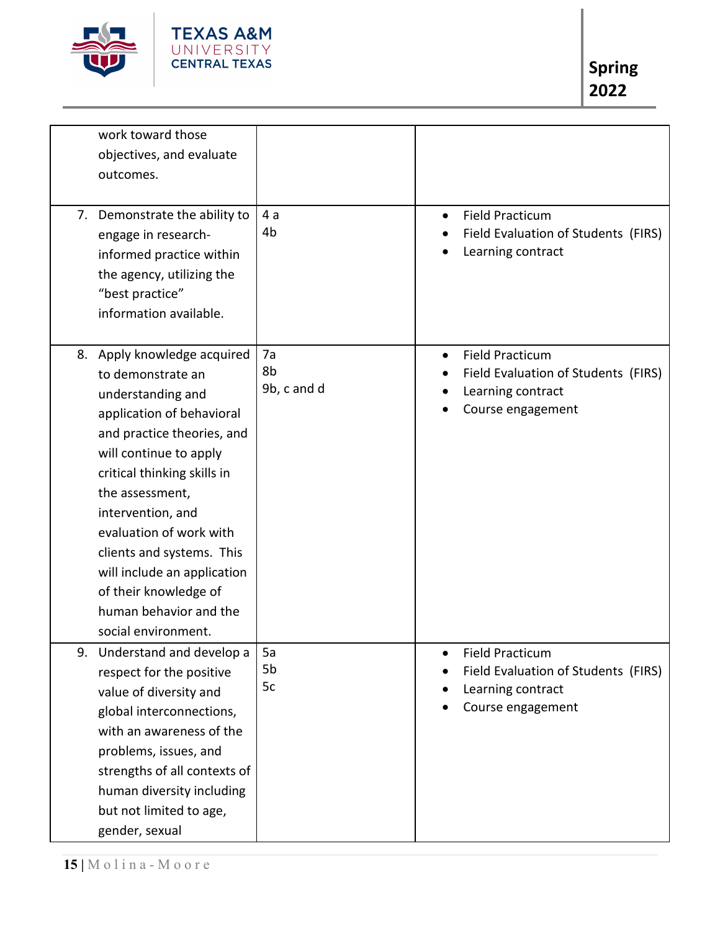

|    | work toward those<br>objectives, and evaluate<br>outcomes.                                                                                                                                                                                                                                                                                                                                         |                         |                                                                                                                      |  |
|----|----------------------------------------------------------------------------------------------------------------------------------------------------------------------------------------------------------------------------------------------------------------------------------------------------------------------------------------------------------------------------------------------------|-------------------------|----------------------------------------------------------------------------------------------------------------------|--|
|    | 7. Demonstrate the ability to<br>engage in research-<br>informed practice within<br>the agency, utilizing the<br>"best practice"<br>information available.                                                                                                                                                                                                                                         | 4a<br>4b                | <b>Field Practicum</b><br>$\bullet$<br>Field Evaluation of Students (FIRS)<br>Learning contract                      |  |
|    | 8. Apply knowledge acquired<br>to demonstrate an<br>understanding and<br>application of behavioral<br>and practice theories, and<br>will continue to apply<br>critical thinking skills in<br>the assessment,<br>intervention, and<br>evaluation of work with<br>clients and systems. This<br>will include an application<br>of their knowledge of<br>human behavior and the<br>social environment. | 7a<br>8b<br>9b, c and d | <b>Field Practicum</b><br>$\bullet$<br>Field Evaluation of Students (FIRS)<br>Learning contract<br>Course engagement |  |
| 9. | Understand and develop a<br>respect for the positive<br>value of diversity and<br>global interconnections,<br>with an awareness of the<br>problems, issues, and<br>strengths of all contexts of<br>human diversity including<br>but not limited to age,<br>gender, sexual                                                                                                                          | 5a<br>5b<br>5c          | <b>Field Practicum</b><br>Field Evaluation of Students (FIRS)<br>Learning contract<br>Course engagement              |  |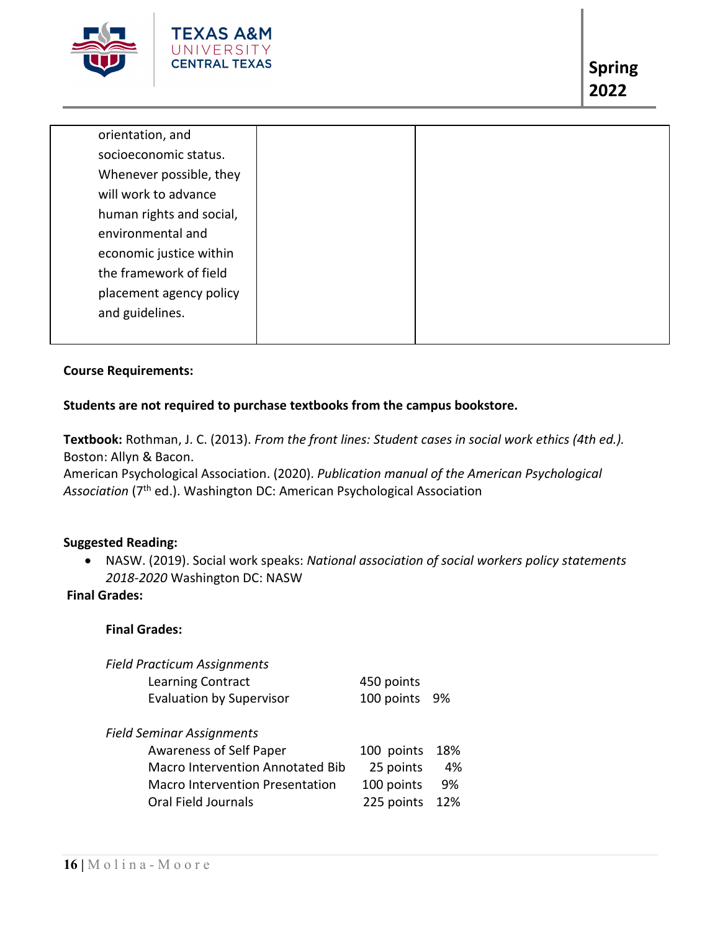

**Spring 2022**

| orientation, and         |  |  |
|--------------------------|--|--|
| socioeconomic status.    |  |  |
| Whenever possible, they  |  |  |
| will work to advance     |  |  |
| human rights and social, |  |  |
| environmental and        |  |  |
| economic justice within  |  |  |
| the framework of field   |  |  |
| placement agency policy  |  |  |
| and guidelines.          |  |  |
|                          |  |  |
|                          |  |  |

#### **Course Requirements:**

#### **Students are not required to purchase textbooks from the campus bookstore.**

**Textbook:** Rothman, J. C. (2013). *From the front lines: Student cases in social work ethics (4th ed.).*  Boston: Allyn & Bacon.

American Psychological Association. (2020). *Publication manual of the American Psychological Association* (7th ed.). Washington DC: American Psychological Association

#### **Suggested Reading:**

• NASW. (2019). Social work speaks: *National association of social workers policy statements 2018-2020* Washington DC: NASW

#### **Final Grades:**

#### **Final Grades:**

| <b>Field Practicum Assignments</b>      |            |     |
|-----------------------------------------|------------|-----|
| Learning Contract                       | 450 points |     |
| <b>Evaluation by Supervisor</b>         | 100 points | 9%  |
| <b>Field Seminar Assignments</b>        |            |     |
| <b>Awareness of Self Paper</b>          | 100 points | 18% |
| <b>Macro Intervention Annotated Bib</b> | 25 points  | 4%  |
| <b>Macro Intervention Presentation</b>  | 100 points | 9%  |
| <b>Oral Field Journals</b>              | 225 points | 12% |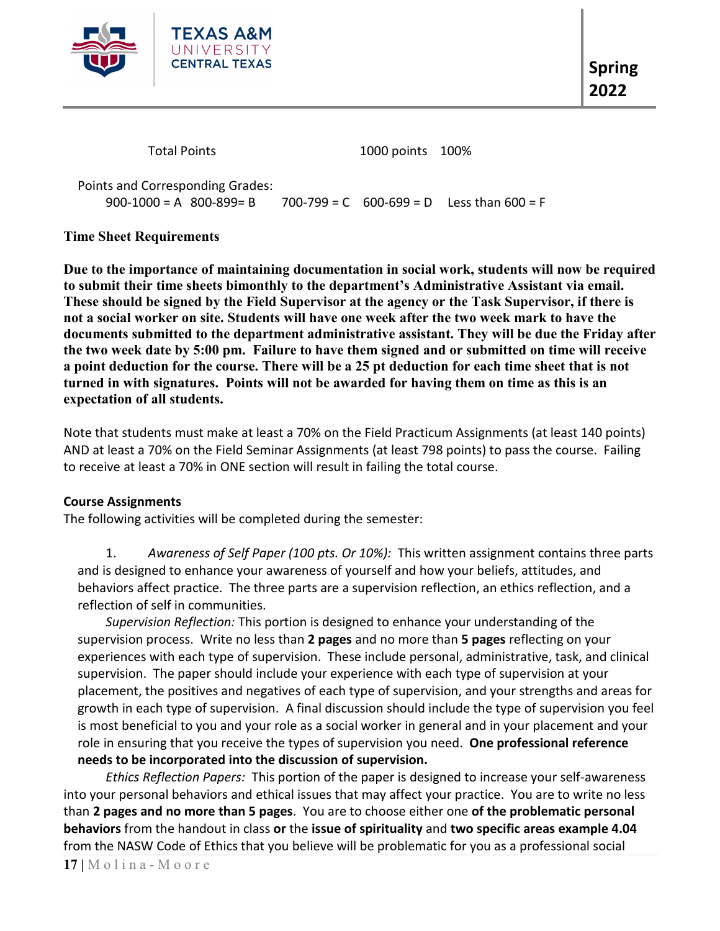

Total Points **1000 points** 100%

Points and Corresponding Grades:

900-1000 = A  $800-899= B$  700-799 = C 600-699 = D Less than 600 = F

**Time Sheet Requirements**

**Due to the importance of maintaining documentation in social work, students will now be required to submit their time sheets bimonthly to the department's Administrative Assistant via email. These should be signed by the Field Supervisor at the agency or the Task Supervisor, if there is not a social worker on site. Students will have one week after the two week mark to have the documents submitted to the department administrative assistant. They will be due the Friday after the two week date by 5:00 pm. Failure to have them signed and or submitted on time will receive a point deduction for the course. There will be a 25 pt deduction for each time sheet that is not turned in with signatures. Points will not be awarded for having them on time as this is an expectation of all students.** 

Note that students must make at least a 70% on the Field Practicum Assignments (at least 140 points) AND at least a 70% on the Field Seminar Assignments (at least 798 points) to pass the course. Failing to receive at least a 70% in ONE section will result in failing the total course.

#### **Course Assignments**

The following activities will be completed during the semester:

1. *Awareness of Self Paper (100 pts. Or 10%):* This written assignment contains three parts and is designed to enhance your awareness of yourself and how your beliefs, attitudes, and behaviors affect practice. The three parts are a supervision reflection, an ethics reflection, and a reflection of self in communities.

*Supervision Reflection:* This portion is designed to enhance your understanding of the supervision process. Write no less than **2 pages** and no more than **5 pages** reflecting on your experiences with each type of supervision. These include personal, administrative, task, and clinical supervision. The paper should include your experience with each type of supervision at your placement, the positives and negatives of each type of supervision, and your strengths and areas for growth in each type of supervision. A final discussion should include the type of supervision you feel is most beneficial to you and your role as a social worker in general and in your placement and your role in ensuring that you receive the types of supervision you need. **One professional reference needs to be incorporated into the discussion of supervision.**

*Ethics Reflection Papers:* This portion of the paper is designed to increase your self-awareness into your personal behaviors and ethical issues that may affect your practice. You are to write no less than **2 pages and no more than 5 pages**. You are to choose either one **of the problematic personal behaviors** from the handout in class **or** the **issue of spirituality** and **two specific areas example 4.04** from the NASW Code of Ethics that you believe will be problematic for you as a professional social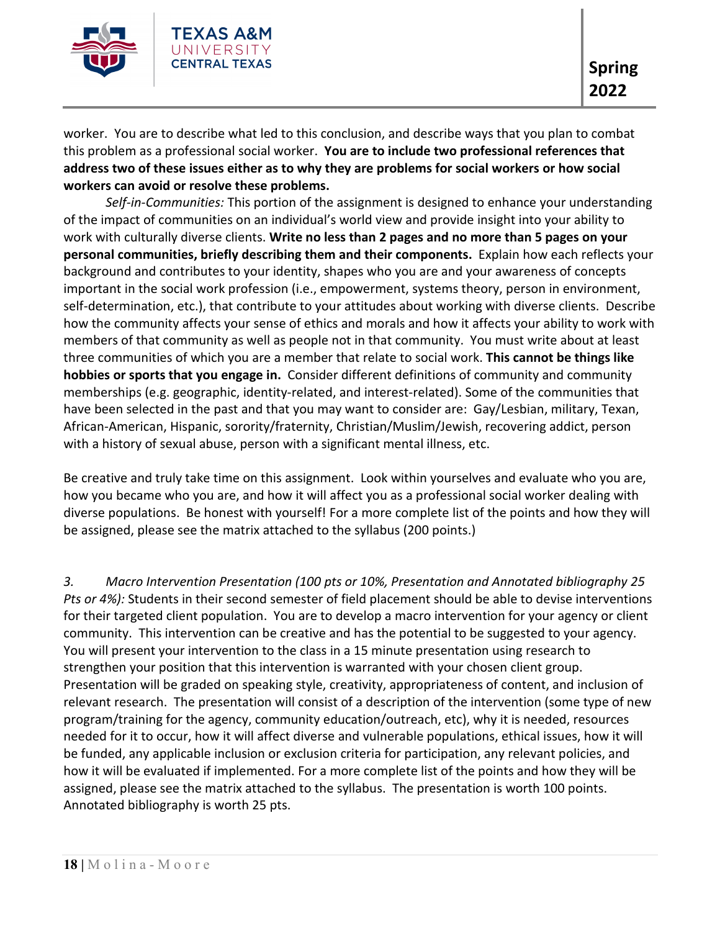

TEXAS A&M UNIVERSIT' **CENTRAL TEXAS** 

worker. You are to describe what led to this conclusion, and describe ways that you plan to combat this problem as a professional social worker. **You are to include two professional references that address two of these issues either as to why they are problems for social workers or how social workers can avoid or resolve these problems.**

*Self-in-Communities:* This portion of the assignment is designed to enhance your understanding of the impact of communities on an individual's world view and provide insight into your ability to work with culturally diverse clients. **Write no less than 2 pages and no more than 5 pages on your personal communities, briefly describing them and their components.** Explain how each reflects your background and contributes to your identity, shapes who you are and your awareness of concepts important in the social work profession (i.e., empowerment, systems theory, person in environment, self-determination, etc.), that contribute to your attitudes about working with diverse clients. Describe how the community affects your sense of ethics and morals and how it affects your ability to work with members of that community as well as people not in that community. You must write about at least three communities of which you are a member that relate to social work. **This cannot be things like hobbies or sports that you engage in.** Consider different definitions of community and community memberships (e.g. geographic, identity-related, and interest-related). Some of the communities that have been selected in the past and that you may want to consider are: Gay/Lesbian, military, Texan, African-American, Hispanic, sorority/fraternity, Christian/Muslim/Jewish, recovering addict, person with a history of sexual abuse, person with a significant mental illness, etc.

Be creative and truly take time on this assignment. Look within yourselves and evaluate who you are, how you became who you are, and how it will affect you as a professional social worker dealing with diverse populations. Be honest with yourself! For a more complete list of the points and how they will be assigned, please see the matrix attached to the syllabus (200 points.)

*3. Macro Intervention Presentation (100 pts or 10%, Presentation and Annotated bibliography 25 Pts or 4%):* Students in their second semester of field placement should be able to devise interventions for their targeted client population. You are to develop a macro intervention for your agency or client community. This intervention can be creative and has the potential to be suggested to your agency. You will present your intervention to the class in a 15 minute presentation using research to strengthen your position that this intervention is warranted with your chosen client group. Presentation will be graded on speaking style, creativity, appropriateness of content, and inclusion of relevant research. The presentation will consist of a description of the intervention (some type of new program/training for the agency, community education/outreach, etc), why it is needed, resources needed for it to occur, how it will affect diverse and vulnerable populations, ethical issues, how it will be funded, any applicable inclusion or exclusion criteria for participation, any relevant policies, and how it will be evaluated if implemented. For a more complete list of the points and how they will be assigned, please see the matrix attached to the syllabus. The presentation is worth 100 points. Annotated bibliography is worth 25 pts.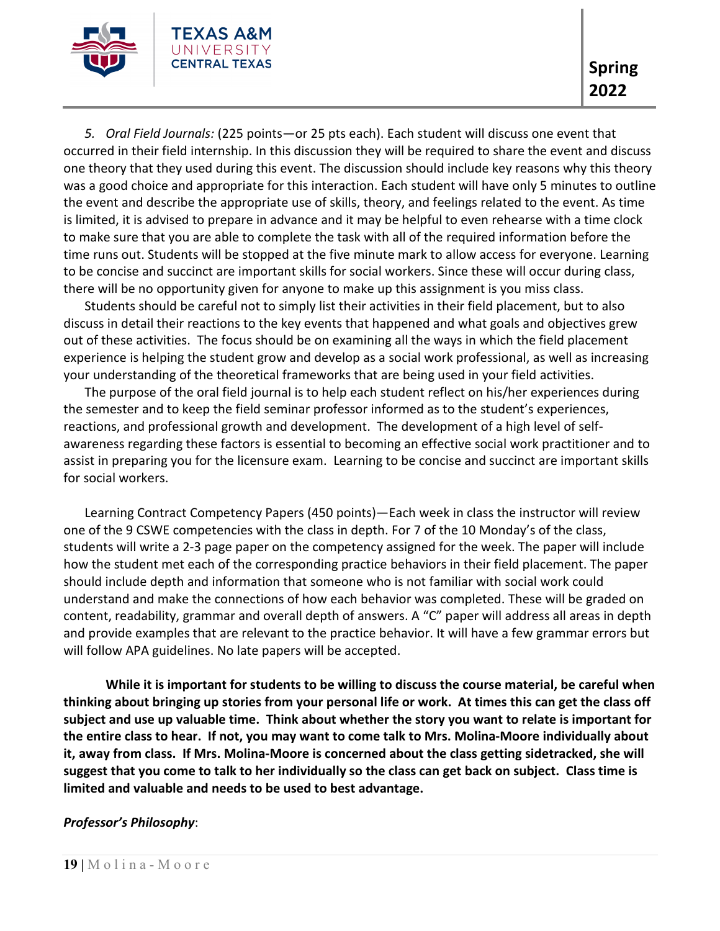

*5. Oral Field Journals:* (225 points—or 25 pts each). Each student will discuss one event that occurred in their field internship. In this discussion they will be required to share the event and discuss one theory that they used during this event. The discussion should include key reasons why this theory was a good choice and appropriate for this interaction. Each student will have only 5 minutes to outline the event and describe the appropriate use of skills, theory, and feelings related to the event. As time is limited, it is advised to prepare in advance and it may be helpful to even rehearse with a time clock to make sure that you are able to complete the task with all of the required information before the time runs out. Students will be stopped at the five minute mark to allow access for everyone. Learning to be concise and succinct are important skills for social workers. Since these will occur during class, there will be no opportunity given for anyone to make up this assignment is you miss class.

Students should be careful not to simply list their activities in their field placement, but to also discuss in detail their reactions to the key events that happened and what goals and objectives grew out of these activities. The focus should be on examining all the ways in which the field placement experience is helping the student grow and develop as a social work professional, as well as increasing your understanding of the theoretical frameworks that are being used in your field activities.

The purpose of the oral field journal is to help each student reflect on his/her experiences during the semester and to keep the field seminar professor informed as to the student's experiences, reactions, and professional growth and development. The development of a high level of selfawareness regarding these factors is essential to becoming an effective social work practitioner and to assist in preparing you for the licensure exam. Learning to be concise and succinct are important skills for social workers.

Learning Contract Competency Papers (450 points)—Each week in class the instructor will review one of the 9 CSWE competencies with the class in depth. For 7 of the 10 Monday's of the class, students will write a 2-3 page paper on the competency assigned for the week. The paper will include how the student met each of the corresponding practice behaviors in their field placement. The paper should include depth and information that someone who is not familiar with social work could understand and make the connections of how each behavior was completed. These will be graded on content, readability, grammar and overall depth of answers. A "C" paper will address all areas in depth and provide examples that are relevant to the practice behavior. It will have a few grammar errors but will follow APA guidelines. No late papers will be accepted.

**While it is important for students to be willing to discuss the course material, be careful when thinking about bringing up stories from your personal life or work. At times this can get the class off subject and use up valuable time. Think about whether the story you want to relate is important for the entire class to hear. If not, you may want to come talk to Mrs. Molina-Moore individually about it, away from class. If Mrs. Molina-Moore is concerned about the class getting sidetracked, she will suggest that you come to talk to her individually so the class can get back on subject. Class time is limited and valuable and needs to be used to best advantage.**

#### *Professor's Philosophy*: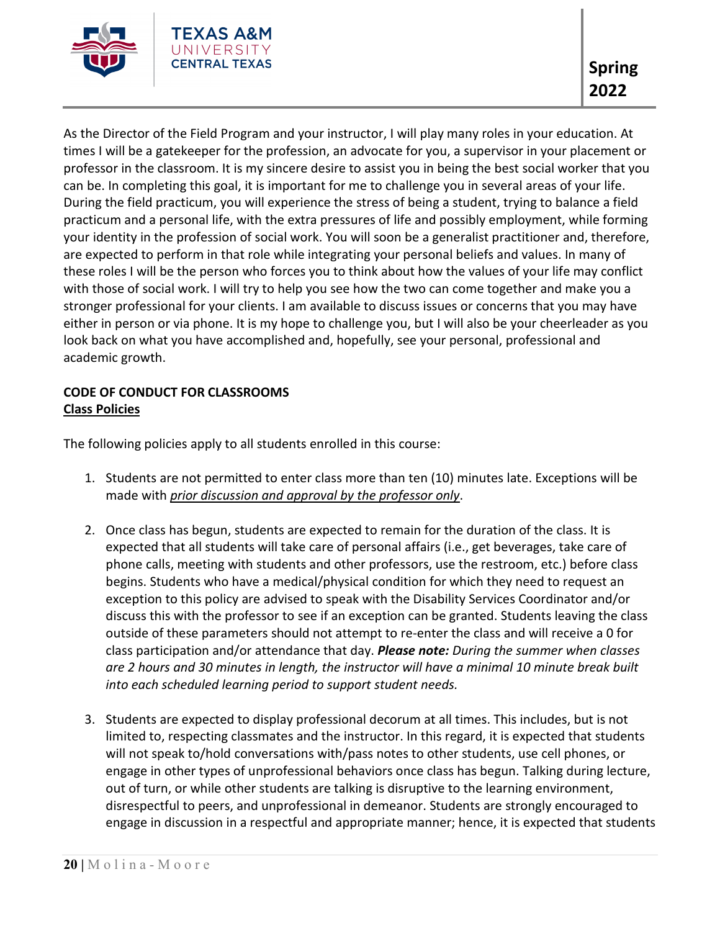

As the Director of the Field Program and your instructor, I will play many roles in your education. At times I will be a gatekeeper for the profession, an advocate for you, a supervisor in your placement or professor in the classroom. It is my sincere desire to assist you in being the best social worker that you can be. In completing this goal, it is important for me to challenge you in several areas of your life. During the field practicum, you will experience the stress of being a student, trying to balance a field practicum and a personal life, with the extra pressures of life and possibly employment, while forming your identity in the profession of social work. You will soon be a generalist practitioner and, therefore, are expected to perform in that role while integrating your personal beliefs and values. In many of these roles I will be the person who forces you to think about how the values of your life may conflict with those of social work. I will try to help you see how the two can come together and make you a stronger professional for your clients. I am available to discuss issues or concerns that you may have either in person or via phone. It is my hope to challenge you, but I will also be your cheerleader as you look back on what you have accomplished and, hopefully, see your personal, professional and academic growth.

#### **CODE OF CONDUCT FOR CLASSROOMS Class Policies**

The following policies apply to all students enrolled in this course:

- 1. Students are not permitted to enter class more than ten (10) minutes late. Exceptions will be made with *prior discussion and approval by the professor only*.
- 2. Once class has begun, students are expected to remain for the duration of the class. It is expected that all students will take care of personal affairs (i.e., get beverages, take care of phone calls, meeting with students and other professors, use the restroom, etc.) before class begins. Students who have a medical/physical condition for which they need to request an exception to this policy are advised to speak with the Disability Services Coordinator and/or discuss this with the professor to see if an exception can be granted. Students leaving the class outside of these parameters should not attempt to re-enter the class and will receive a 0 for class participation and/or attendance that day. *Please note: During the summer when classes are 2 hours and 30 minutes in length, the instructor will have a minimal 10 minute break built into each scheduled learning period to support student needs.*
- 3. Students are expected to display professional decorum at all times. This includes, but is not limited to, respecting classmates and the instructor. In this regard, it is expected that students will not speak to/hold conversations with/pass notes to other students, use cell phones, or engage in other types of unprofessional behaviors once class has begun. Talking during lecture, out of turn, or while other students are talking is disruptive to the learning environment, disrespectful to peers, and unprofessional in demeanor. Students are strongly encouraged to engage in discussion in a respectful and appropriate manner; hence, it is expected that students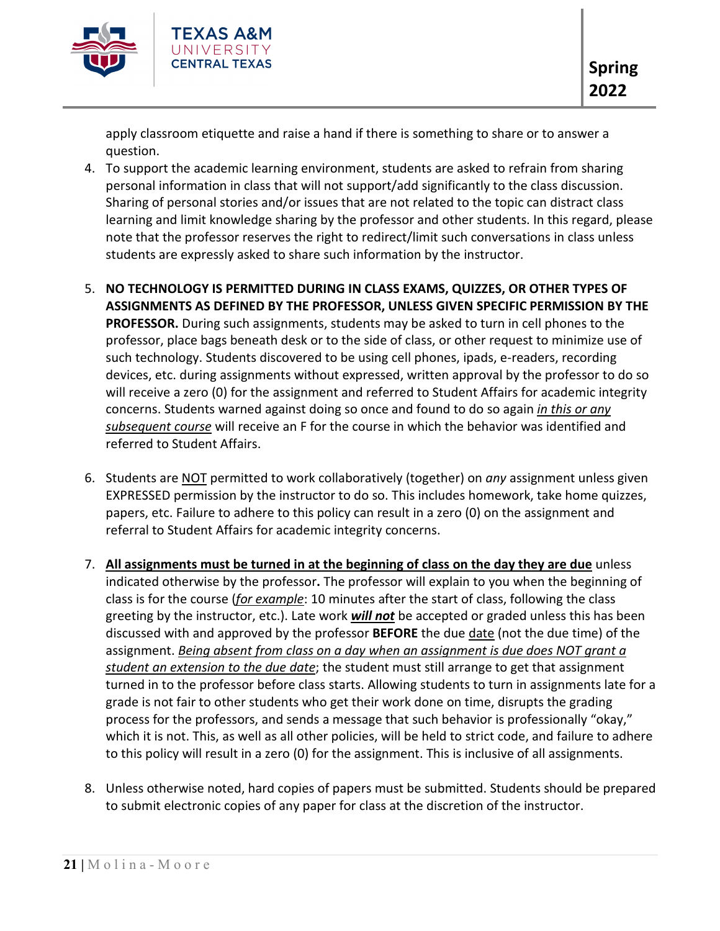

apply classroom etiquette and raise a hand if there is something to share or to answer a question.

- 4. To support the academic learning environment, students are asked to refrain from sharing personal information in class that will not support/add significantly to the class discussion. Sharing of personal stories and/or issues that are not related to the topic can distract class learning and limit knowledge sharing by the professor and other students. In this regard, please note that the professor reserves the right to redirect/limit such conversations in class unless students are expressly asked to share such information by the instructor.
- 5. **NO TECHNOLOGY IS PERMITTED DURING IN CLASS EXAMS, QUIZZES, OR OTHER TYPES OF ASSIGNMENTS AS DEFINED BY THE PROFESSOR, UNLESS GIVEN SPECIFIC PERMISSION BY THE PROFESSOR.** During such assignments, students may be asked to turn in cell phones to the professor, place bags beneath desk or to the side of class, or other request to minimize use of such technology. Students discovered to be using cell phones, ipads, e-readers, recording devices, etc. during assignments without expressed, written approval by the professor to do so will receive a zero (0) for the assignment and referred to Student Affairs for academic integrity concerns. Students warned against doing so once and found to do so again *in this or any subsequent course* will receive an F for the course in which the behavior was identified and referred to Student Affairs.
- 6. Students are NOT permitted to work collaboratively (together) on *any* assignment unless given EXPRESSED permission by the instructor to do so. This includes homework, take home quizzes, papers, etc. Failure to adhere to this policy can result in a zero (0) on the assignment and referral to Student Affairs for academic integrity concerns.
- 7. **All assignments must be turned in at the beginning of class on the day they are due** unless indicated otherwise by the professor**.** The professor will explain to you when the beginning of class is for the course (*for example*: 10 minutes after the start of class, following the class greeting by the instructor, etc.). Late work *will not* be accepted or graded unless this has been discussed with and approved by the professor **BEFORE** the due date (not the due time) of the assignment. *Being absent from class on a day when an assignment is due does NOT grant a student an extension to the due date*; the student must still arrange to get that assignment turned in to the professor before class starts. Allowing students to turn in assignments late for a grade is not fair to other students who get their work done on time, disrupts the grading process for the professors, and sends a message that such behavior is professionally "okay," which it is not. This, as well as all other policies, will be held to strict code, and failure to adhere to this policy will result in a zero (0) for the assignment. This is inclusive of all assignments.
- 8. Unless otherwise noted, hard copies of papers must be submitted. Students should be prepared to submit electronic copies of any paper for class at the discretion of the instructor.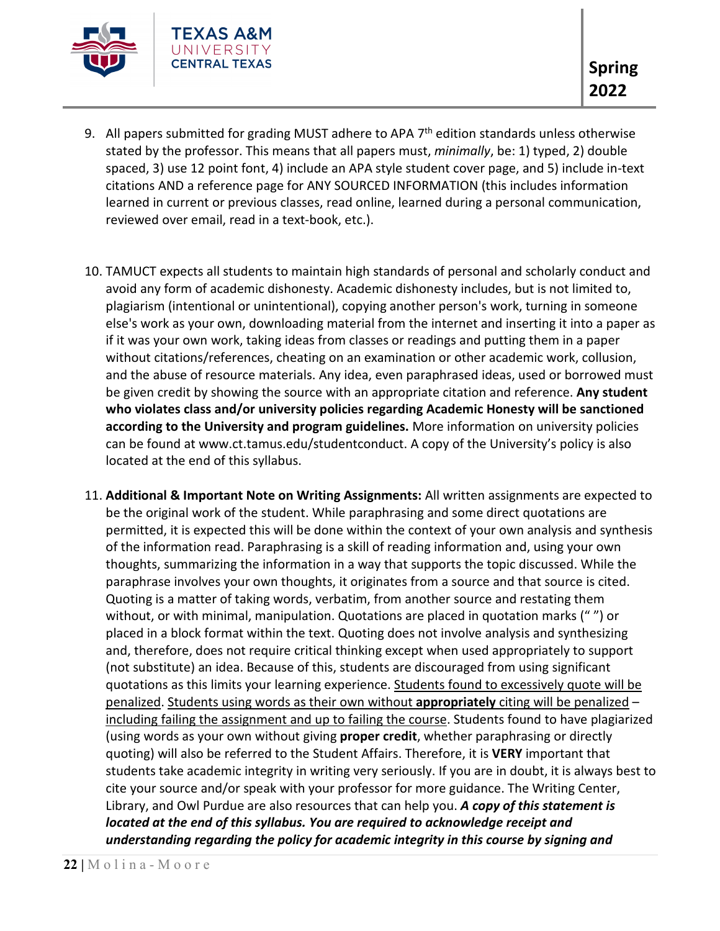

- 9. All papers submitted for grading MUST adhere to APA  $7<sup>th</sup>$  edition standards unless otherwise stated by the professor. This means that all papers must, *minimally*, be: 1) typed, 2) double spaced, 3) use 12 point font, 4) include an APA style student cover page, and 5) include in-text citations AND a reference page for ANY SOURCED INFORMATION (this includes information learned in current or previous classes, read online, learned during a personal communication, reviewed over email, read in a text-book, etc.).
- 10. TAMUCT expects all students to maintain high standards of personal and scholarly conduct and avoid any form of academic dishonesty. Academic dishonesty includes, but is not limited to, plagiarism (intentional or unintentional), copying another person's work, turning in someone else's work as your own, downloading material from the internet and inserting it into a paper as if it was your own work, taking ideas from classes or readings and putting them in a paper without citations/references, cheating on an examination or other academic work, collusion, and the abuse of resource materials. Any idea, even paraphrased ideas, used or borrowed must be given credit by showing the source with an appropriate citation and reference. **Any student who violates class and/or university policies regarding Academic Honesty will be sanctioned according to the University and program guidelines.** More information on university policies can be found at www.ct.tamus.edu/studentconduct. A copy of the University's policy is also located at the end of this syllabus.
- 11. **Additional & Important Note on Writing Assignments:** All written assignments are expected to be the original work of the student. While paraphrasing and some direct quotations are permitted, it is expected this will be done within the context of your own analysis and synthesis of the information read. Paraphrasing is a skill of reading information and, using your own thoughts, summarizing the information in a way that supports the topic discussed. While the paraphrase involves your own thoughts, it originates from a source and that source is cited. Quoting is a matter of taking words, verbatim, from another source and restating them without, or with minimal, manipulation. Quotations are placed in quotation marks (" ") or placed in a block format within the text. Quoting does not involve analysis and synthesizing and, therefore, does not require critical thinking except when used appropriately to support (not substitute) an idea. Because of this, students are discouraged from using significant quotations as this limits your learning experience. Students found to excessively quote will be penalized. Students using words as their own without **appropriately** citing will be penalized – including failing the assignment and up to failing the course. Students found to have plagiarized (using words as your own without giving **proper credit**, whether paraphrasing or directly quoting) will also be referred to the Student Affairs. Therefore, it is **VERY** important that students take academic integrity in writing very seriously. If you are in doubt, it is always best to cite your source and/or speak with your professor for more guidance. The Writing Center, Library, and Owl Purdue are also resources that can help you. *A copy of this statement is located at the end of this syllabus. You are required to acknowledge receipt and understanding regarding the policy for academic integrity in this course by signing and*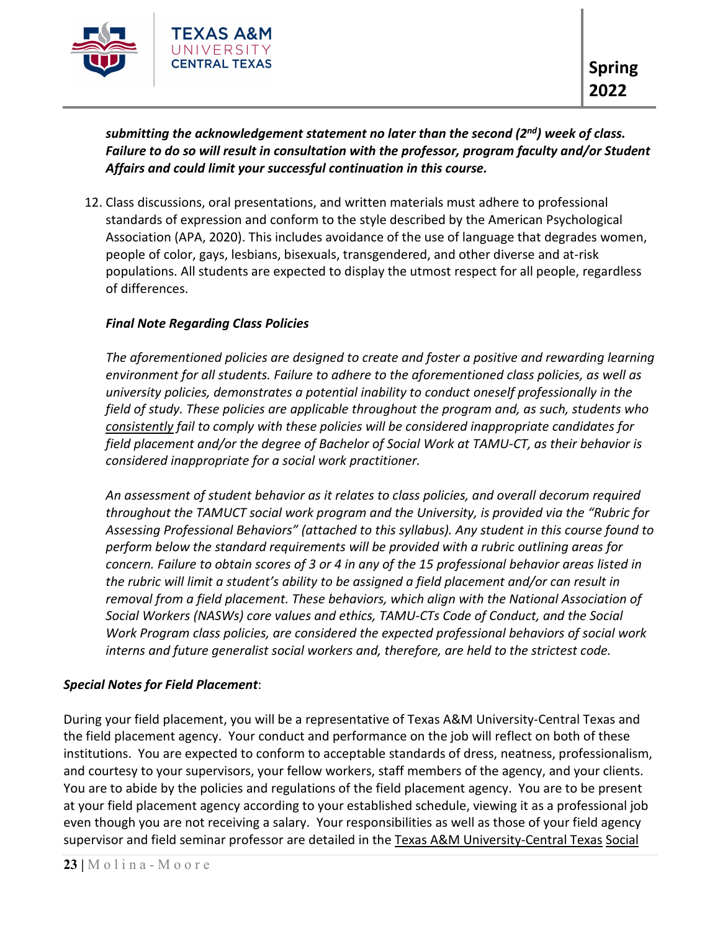

*submitting the acknowledgement statement no later than the second (2nd) week of class. Failure to do so will result in consultation with the professor, program faculty and/or Student Affairs and could limit your successful continuation in this course.* 

12. Class discussions, oral presentations, and written materials must adhere to professional standards of expression and conform to the style described by the American Psychological Association (APA, 2020). This includes avoidance of the use of language that degrades women, people of color, gays, lesbians, bisexuals, transgendered, and other diverse and at-risk populations. All students are expected to display the utmost respect for all people, regardless of differences.

#### *Final Note Regarding Class Policies*

*The aforementioned policies are designed to create and foster a positive and rewarding learning environment for all students. Failure to adhere to the aforementioned class policies, as well as university policies, demonstrates a potential inability to conduct oneself professionally in the field of study. These policies are applicable throughout the program and, as such, students who consistently fail to comply with these policies will be considered inappropriate candidates for field placement and/or the degree of Bachelor of Social Work at TAMU-CT, as their behavior is considered inappropriate for a social work practitioner.* 

*An assessment of student behavior as it relates to class policies, and overall decorum required throughout the TAMUCT social work program and the University, is provided via the "Rubric for Assessing Professional Behaviors" (attached to this syllabus). Any student in this course found to perform below the standard requirements will be provided with a rubric outlining areas for concern. Failure to obtain scores of 3 or 4 in any of the 15 professional behavior areas listed in the rubric will limit a student's ability to be assigned a field placement and/or can result in removal from a field placement. These behaviors, which align with the National Association of Social Workers (NASWs) core values and ethics, TAMU-CTs Code of Conduct, and the Social Work Program class policies, are considered the expected professional behaviors of social work interns and future generalist social workers and, therefore, are held to the strictest code.* 

#### *Special Notes for Field Placement*:

During your field placement, you will be a representative of Texas A&M University-Central Texas and the field placement agency. Your conduct and performance on the job will reflect on both of these institutions. You are expected to conform to acceptable standards of dress, neatness, professionalism, and courtesy to your supervisors, your fellow workers, staff members of the agency, and your clients. You are to abide by the policies and regulations of the field placement agency. You are to be present at your field placement agency according to your established schedule, viewing it as a professional job even though you are not receiving a salary. Your responsibilities as well as those of your field agency supervisor and field seminar professor are detailed in the Texas A&M University-Central Texas Social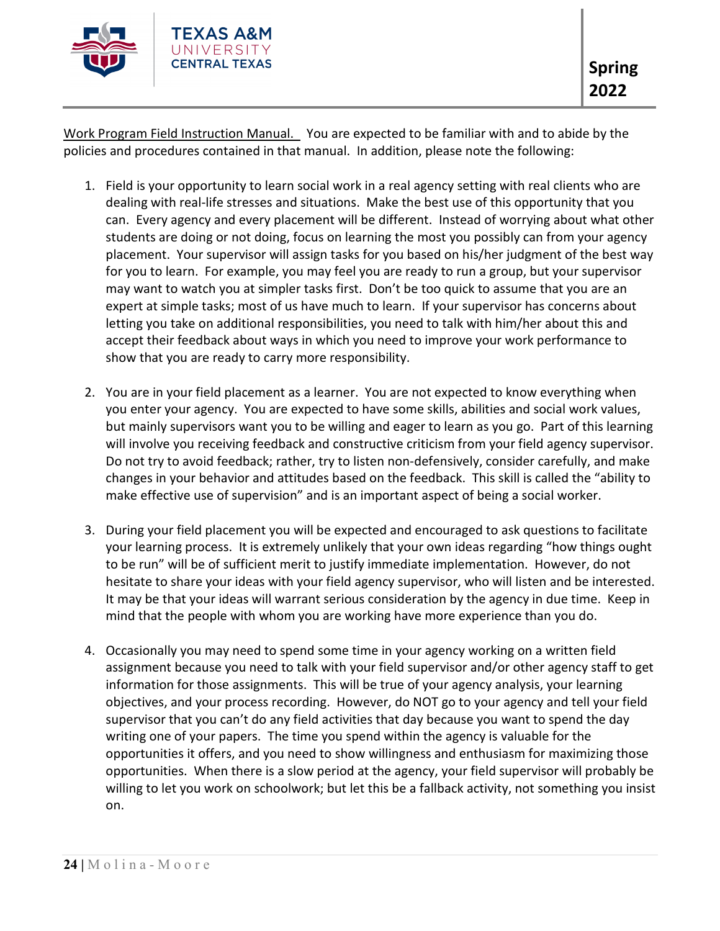

Work Program Field Instruction Manual. You are expected to be familiar with and to abide by the policies and procedures contained in that manual. In addition, please note the following:

- 1. Field is your opportunity to learn social work in a real agency setting with real clients who are dealing with real-life stresses and situations. Make the best use of this opportunity that you can. Every agency and every placement will be different. Instead of worrying about what other students are doing or not doing, focus on learning the most you possibly can from your agency placement. Your supervisor will assign tasks for you based on his/her judgment of the best way for you to learn. For example, you may feel you are ready to run a group, but your supervisor may want to watch you at simpler tasks first. Don't be too quick to assume that you are an expert at simple tasks; most of us have much to learn. If your supervisor has concerns about letting you take on additional responsibilities, you need to talk with him/her about this and accept their feedback about ways in which you need to improve your work performance to show that you are ready to carry more responsibility.
- 2. You are in your field placement as a learner. You are not expected to know everything when you enter your agency. You are expected to have some skills, abilities and social work values, but mainly supervisors want you to be willing and eager to learn as you go. Part of this learning will involve you receiving feedback and constructive criticism from your field agency supervisor. Do not try to avoid feedback; rather, try to listen non-defensively, consider carefully, and make changes in your behavior and attitudes based on the feedback. This skill is called the "ability to make effective use of supervision" and is an important aspect of being a social worker.
- 3. During your field placement you will be expected and encouraged to ask questions to facilitate your learning process. It is extremely unlikely that your own ideas regarding "how things ought to be run" will be of sufficient merit to justify immediate implementation. However, do not hesitate to share your ideas with your field agency supervisor, who will listen and be interested. It may be that your ideas will warrant serious consideration by the agency in due time. Keep in mind that the people with whom you are working have more experience than you do.
- 4. Occasionally you may need to spend some time in your agency working on a written field assignment because you need to talk with your field supervisor and/or other agency staff to get information for those assignments. This will be true of your agency analysis, your learning objectives, and your process recording. However, do NOT go to your agency and tell your field supervisor that you can't do any field activities that day because you want to spend the day writing one of your papers. The time you spend within the agency is valuable for the opportunities it offers, and you need to show willingness and enthusiasm for maximizing those opportunities. When there is a slow period at the agency, your field supervisor will probably be willing to let you work on schoolwork; but let this be a fallback activity, not something you insist on.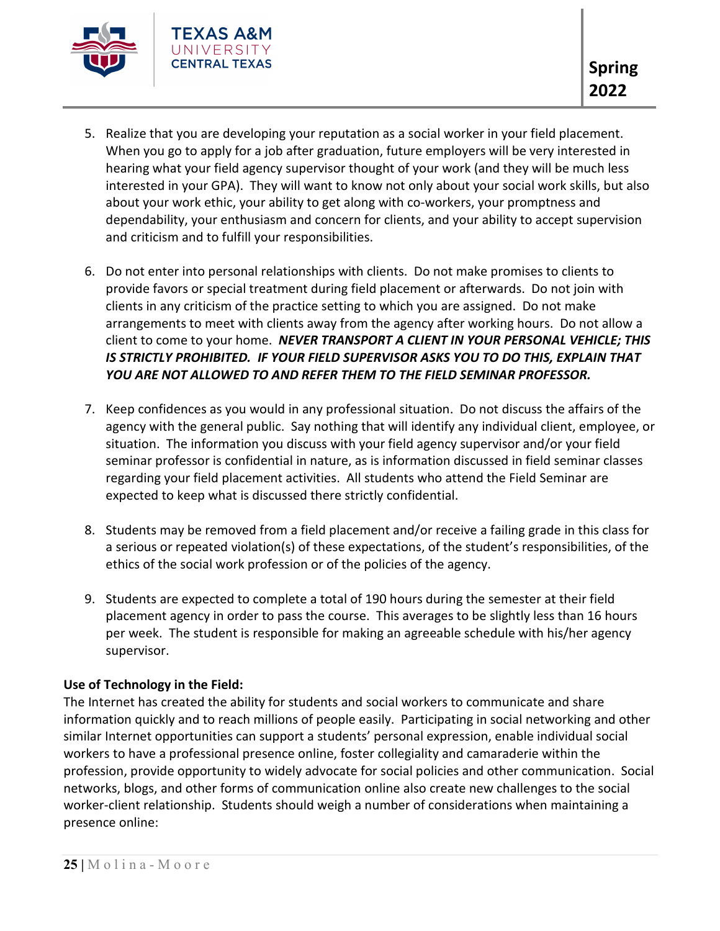

- 5. Realize that you are developing your reputation as a social worker in your field placement. When you go to apply for a job after graduation, future employers will be very interested in hearing what your field agency supervisor thought of your work (and they will be much less interested in your GPA). They will want to know not only about your social work skills, but also about your work ethic, your ability to get along with co-workers, your promptness and dependability, your enthusiasm and concern for clients, and your ability to accept supervision and criticism and to fulfill your responsibilities.
- 6. Do not enter into personal relationships with clients. Do not make promises to clients to provide favors or special treatment during field placement or afterwards. Do not join with clients in any criticism of the practice setting to which you are assigned. Do not make arrangements to meet with clients away from the agency after working hours. Do not allow a client to come to your home. *NEVER TRANSPORT A CLIENT IN YOUR PERSONAL VEHICLE; THIS IS STRICTLY PROHIBITED. IF YOUR FIELD SUPERVISOR ASKS YOU TO DO THIS, EXPLAIN THAT YOU ARE NOT ALLOWED TO AND REFER THEM TO THE FIELD SEMINAR PROFESSOR.*
- 7. Keep confidences as you would in any professional situation. Do not discuss the affairs of the agency with the general public. Say nothing that will identify any individual client, employee, or situation. The information you discuss with your field agency supervisor and/or your field seminar professor is confidential in nature, as is information discussed in field seminar classes regarding your field placement activities. All students who attend the Field Seminar are expected to keep what is discussed there strictly confidential.
- 8. Students may be removed from a field placement and/or receive a failing grade in this class for a serious or repeated violation(s) of these expectations, of the student's responsibilities, of the ethics of the social work profession or of the policies of the agency.
- 9. Students are expected to complete a total of 190 hours during the semester at their field placement agency in order to pass the course. This averages to be slightly less than 16 hours per week. The student is responsible for making an agreeable schedule with his/her agency supervisor.

#### **Use of Technology in the Field:**

The Internet has created the ability for students and social workers to communicate and share information quickly and to reach millions of people easily. Participating in social networking and other similar Internet opportunities can support a students' personal expression, enable individual social workers to have a professional presence online, foster collegiality and camaraderie within the profession, provide opportunity to widely advocate for social policies and other communication. Social networks, blogs, and other forms of communication online also create new challenges to the social worker-client relationship. Students should weigh a number of considerations when maintaining a presence online: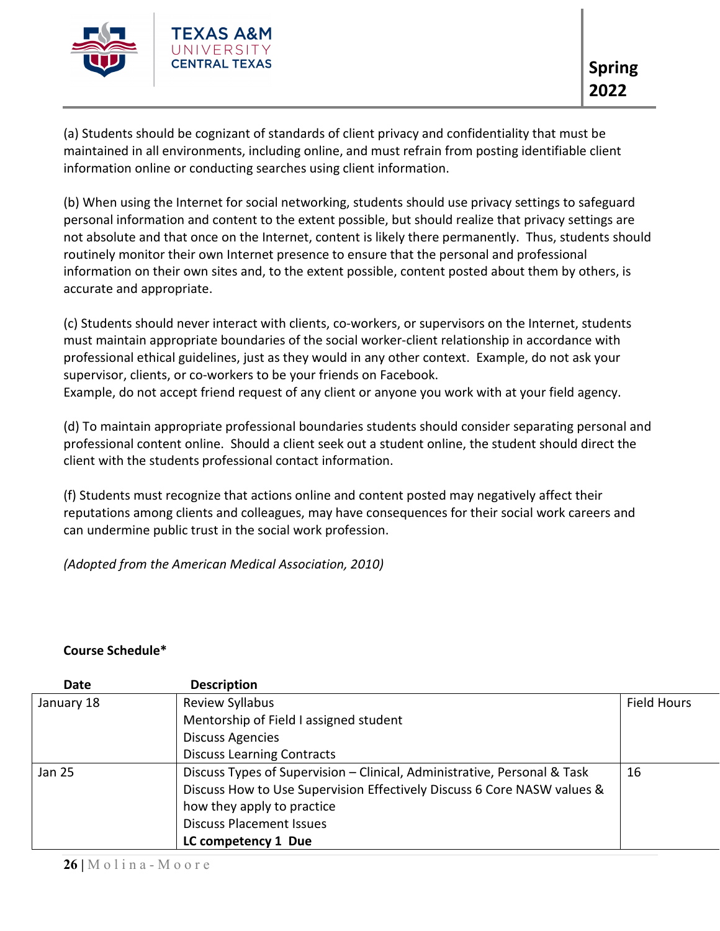

(a) Students should be cognizant of standards of client privacy and confidentiality that must be maintained in all environments, including online, and must refrain from posting identifiable client information online or conducting searches using client information.

(b) When using the Internet for social networking, students should use privacy settings to safeguard personal information and content to the extent possible, but should realize that privacy settings are not absolute and that once on the Internet, content is likely there permanently. Thus, students should routinely monitor their own Internet presence to ensure that the personal and professional information on their own sites and, to the extent possible, content posted about them by others, is accurate and appropriate.

(c) Students should never interact with clients, co-workers, or supervisors on the Internet, students must maintain appropriate boundaries of the social worker-client relationship in accordance with professional ethical guidelines, just as they would in any other context. Example, do not ask your supervisor, clients, or co-workers to be your friends on Facebook. Example, do not accept friend request of any client or anyone you work with at your field agency.

(d) To maintain appropriate professional boundaries students should consider separating personal and professional content online. Should a client seek out a student online, the student should direct the client with the students professional contact information.

(f) Students must recognize that actions online and content posted may negatively affect their reputations among clients and colleagues, may have consequences for their social work careers and can undermine public trust in the social work profession.

*(Adopted from the American Medical Association, 2010)*

#### **Course Schedule\***

| Date          | <b>Description</b>                                                       |                    |
|---------------|--------------------------------------------------------------------------|--------------------|
| January 18    | <b>Review Syllabus</b>                                                   | <b>Field Hours</b> |
|               | Mentorship of Field I assigned student                                   |                    |
|               | <b>Discuss Agencies</b>                                                  |                    |
|               | <b>Discuss Learning Contracts</b>                                        |                    |
| <b>Jan 25</b> | Discuss Types of Supervision - Clinical, Administrative, Personal & Task | 16                 |
|               | Discuss How to Use Supervision Effectively Discuss 6 Core NASW values &  |                    |
|               | how they apply to practice                                               |                    |
|               | <b>Discuss Placement Issues</b>                                          |                    |
|               | LC competency 1 Due                                                      |                    |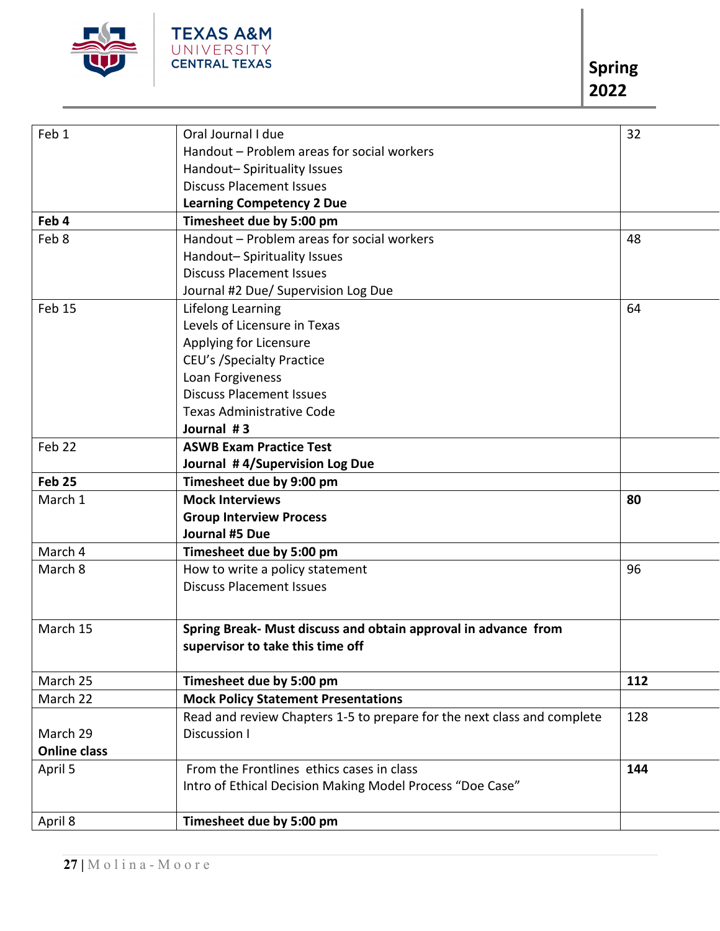

# **TEXAS A&M** UNIVERSITY

**Spring 2022**

| Feb 1               | Oral Journal I due                                                      | 32  |
|---------------------|-------------------------------------------------------------------------|-----|
|                     | Handout - Problem areas for social workers                              |     |
|                     | Handout-Spirituality Issues                                             |     |
|                     | <b>Discuss Placement Issues</b>                                         |     |
|                     | <b>Learning Competency 2 Due</b>                                        |     |
| Feb 4               | Timesheet due by 5:00 pm                                                |     |
| Feb 8               | Handout - Problem areas for social workers                              | 48  |
|                     | Handout-Spirituality Issues                                             |     |
|                     | <b>Discuss Placement Issues</b>                                         |     |
|                     | Journal #2 Due/ Supervision Log Due                                     |     |
| Feb 15              | Lifelong Learning                                                       | 64  |
|                     | Levels of Licensure in Texas                                            |     |
|                     | Applying for Licensure                                                  |     |
|                     | CEU's /Specialty Practice                                               |     |
|                     | Loan Forgiveness                                                        |     |
|                     | <b>Discuss Placement Issues</b>                                         |     |
|                     | <b>Texas Administrative Code</b>                                        |     |
|                     | Journal #3                                                              |     |
| Feb 22              | <b>ASWB Exam Practice Test</b>                                          |     |
|                     | Journal #4/Supervision Log Due                                          |     |
| <b>Feb 25</b>       | Timesheet due by 9:00 pm                                                |     |
| March 1             | <b>Mock Interviews</b>                                                  | 80  |
|                     | <b>Group Interview Process</b>                                          |     |
|                     | Journal #5 Due                                                          |     |
| March 4             | Timesheet due by 5:00 pm                                                |     |
| March 8             | How to write a policy statement                                         | 96  |
|                     | <b>Discuss Placement Issues</b>                                         |     |
|                     |                                                                         |     |
| March 15            | Spring Break- Must discuss and obtain approval in advance from          |     |
|                     | supervisor to take this time off                                        |     |
|                     |                                                                         |     |
| March 25            | Timesheet due by 5:00 pm                                                | 112 |
| March 22            | <b>Mock Policy Statement Presentations</b>                              |     |
|                     | Read and review Chapters 1-5 to prepare for the next class and complete | 128 |
| March 29            | Discussion I                                                            |     |
| <b>Online class</b> |                                                                         |     |
| April 5             | From the Frontlines ethics cases in class                               | 144 |
|                     | Intro of Ethical Decision Making Model Process "Doe Case"               |     |
|                     |                                                                         |     |
| April 8             | Timesheet due by 5:00 pm                                                |     |
|                     |                                                                         |     |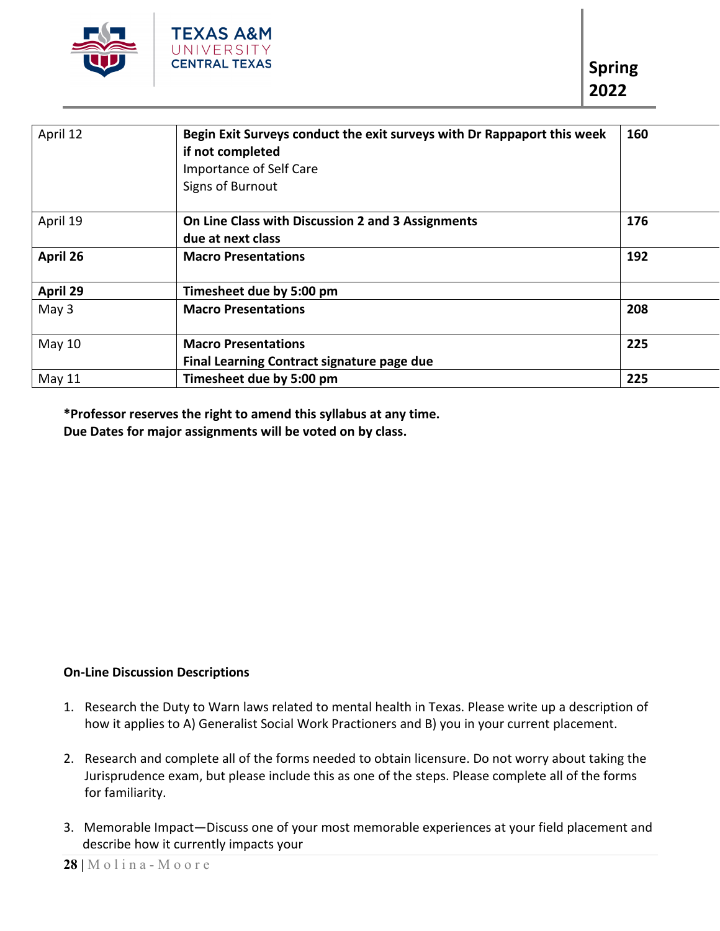

**Spring 2022**

| April 12 | Begin Exit Surveys conduct the exit surveys with Dr Rappaport this week<br>if not completed<br>Importance of Self Care<br>Signs of Burnout | 160 |
|----------|--------------------------------------------------------------------------------------------------------------------------------------------|-----|
| April 19 | On Line Class with Discussion 2 and 3 Assignments<br>due at next class                                                                     | 176 |
| April 26 | <b>Macro Presentations</b>                                                                                                                 | 192 |
| April 29 | Timesheet due by 5:00 pm                                                                                                                   |     |
| May $3$  | <b>Macro Presentations</b>                                                                                                                 | 208 |
| May $10$ | <b>Macro Presentations</b><br>Final Learning Contract signature page due                                                                   | 225 |
| May 11   | Timesheet due by 5:00 pm                                                                                                                   | 225 |

**\*Professor reserves the right to amend this syllabus at any time. Due Dates for major assignments will be voted on by class.** 

#### **On-Line Discussion Descriptions**

- 1. Research the Duty to Warn laws related to mental health in Texas. Please write up a description of how it applies to A) Generalist Social Work Practioners and B) you in your current placement.
- 2. Research and complete all of the forms needed to obtain licensure. Do not worry about taking the Jurisprudence exam, but please include this as one of the steps. Please complete all of the forms for familiarity.
- 3. Memorable Impact—Discuss one of your most memorable experiences at your field placement and describe how it currently impacts your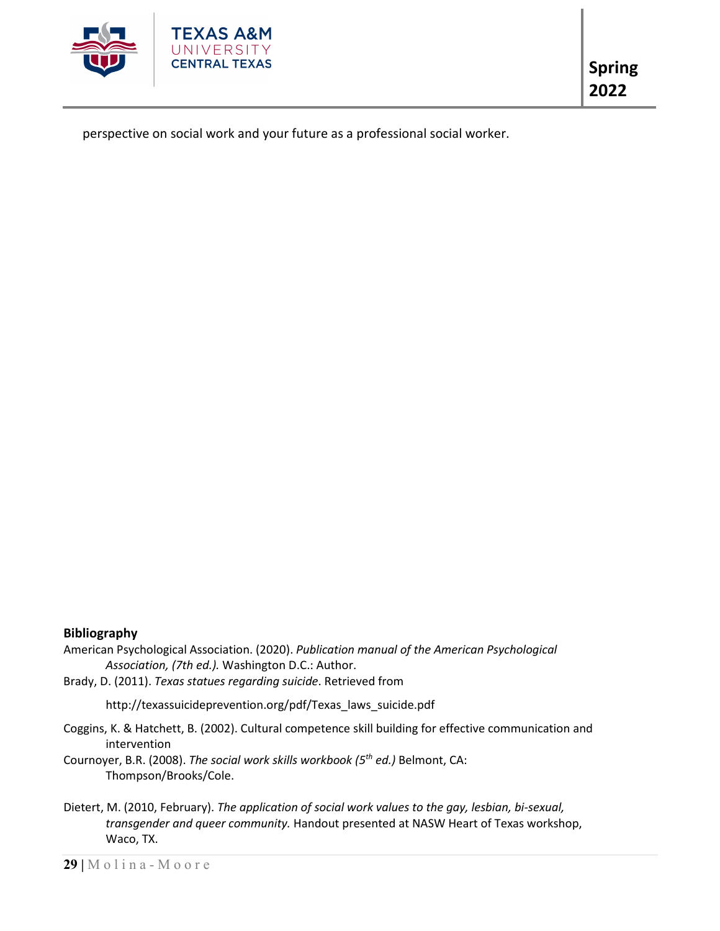

perspective on social work and your future as a professional social worker.

#### **Bibliography**

- American Psychological Association. (2020). *Publication manual of the American Psychological Association, (7th ed.).* Washington D.C.: Author.
- Brady, D. (2011). *Texas statues regarding suicide*. Retrieved from

http://texassuicideprevention.org/pdf/Texas\_laws\_suicide.pdf

Coggins, K. & Hatchett, B. (2002). Cultural competence skill building for effective communication and intervention

Cournoyer, B.R. (2008). *The social work skills workbook (5th ed.)* Belmont, CA: Thompson/Brooks/Cole.

Dietert, M. (2010, February). *The application of social work values to the gay, lesbian, bi-sexual, transgender and queer community.* Handout presented at NASW Heart of Texas workshop, Waco, TX.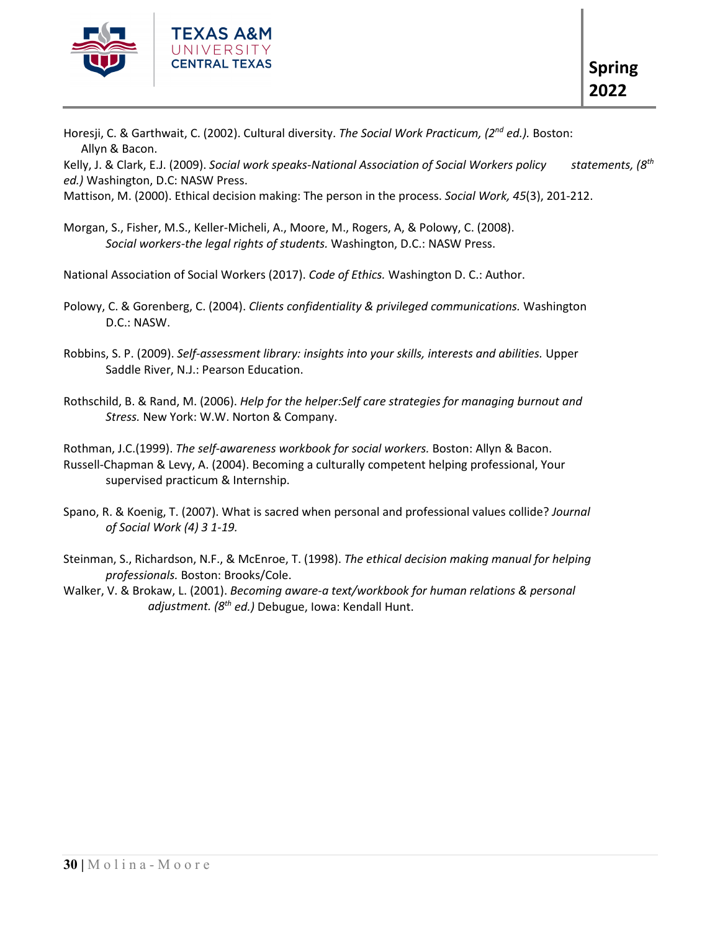

Horesji, C. & Garthwait, C. (2002). Cultural diversity. *The Social Work Practicum, (2nd ed.).* Boston: Allyn & Bacon.

Kelly, J. & Clark, E.J. (2009). *Social work speaks-National Association of Social Workers policy statements, (8th ed.)* Washington, D.C: NASW Press.

Mattison, M. (2000). Ethical decision making: The person in the process. *Social Work, 45*(3), 201-212.

- Morgan, S., Fisher, M.S., Keller-Micheli, A., Moore, M., Rogers, A, & Polowy, C. (2008). *Social workers-the legal rights of students.* Washington, D.C.: NASW Press.
- National Association of Social Workers (2017). *Code of Ethics.* Washington D. C.: Author.
- Polowy, C. & Gorenberg, C. (2004). *Clients confidentiality & privileged communications.* Washington D.C.: NASW.
- Robbins, S. P. (2009). *Self-assessment library: insights into your skills, interests and abilities.* Upper Saddle River, N.J.: Pearson Education.
- Rothschild, B. & Rand, M. (2006). *Help for the helper:Self care strategies for managing burnout and Stress.* New York: W.W. Norton & Company.

Rothman, J.C.(1999). *The self-awareness workbook for social workers.* Boston: Allyn & Bacon. Russell-Chapman & Levy, A. (2004). Becoming a culturally competent helping professional, Your supervised practicum & Internship.

- Spano, R. & Koenig, T. (2007). What is sacred when personal and professional values collide? *Journal of Social Work (4) 3 1-19.*
- Steinman, S., Richardson, N.F., & McEnroe, T. (1998). *The ethical decision making manual for helping professionals.* Boston: Brooks/Cole.
- Walker, V. & Brokaw, L. (2001). *Becoming aware-a text/workbook for human relations & personal adjustment. (8th ed.)* Debugue, Iowa: Kendall Hunt.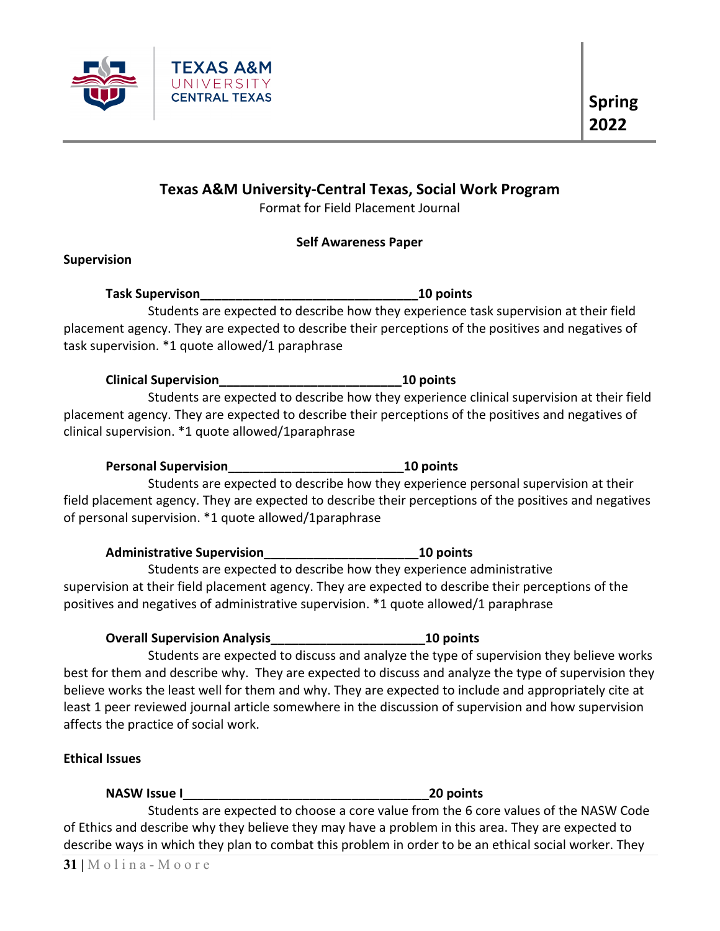

# **Texas A&M University-Central Texas, Social Work Program**

Format for Field Placement Journal

#### **Self Awareness Paper**

#### **Supervision**

**Task Supervison\_\_\_\_\_\_\_\_\_\_\_\_\_\_\_\_\_\_\_\_\_\_\_\_\_\_\_\_\_\_\_10 points**

Students are expected to describe how they experience task supervision at their field placement agency. They are expected to describe their perceptions of the positives and negatives of task supervision. \*1 quote allowed/1 paraphrase

# **Clinical Supervision\_\_\_\_\_\_\_\_\_\_\_\_\_\_\_\_\_\_\_\_\_\_\_\_\_\_10 points**

Students are expected to describe how they experience clinical supervision at their field placement agency. They are expected to describe their perceptions of the positives and negatives of clinical supervision. \*1 quote allowed/1paraphrase

# **Personal Supervision\_\_\_\_\_\_\_\_\_\_\_\_\_\_\_\_\_\_\_\_\_\_\_\_\_10 points**

Students are expected to describe how they experience personal supervision at their field placement agency. They are expected to describe their perceptions of the positives and negatives of personal supervision. \*1 quote allowed/1paraphrase

### **Administrative Supervision\_\_\_\_\_\_\_\_\_\_\_\_\_\_\_\_\_\_\_\_\_\_10 points**

Students are expected to describe how they experience administrative supervision at their field placement agency. They are expected to describe their perceptions of the positives and negatives of administrative supervision. \*1 quote allowed/1 paraphrase

### **Overall Supervision Analysis\_\_\_\_\_\_\_\_\_\_\_\_\_\_\_\_\_\_\_\_\_\_10 points**

Students are expected to discuss and analyze the type of supervision they believe works best for them and describe why. They are expected to discuss and analyze the type of supervision they believe works the least well for them and why. They are expected to include and appropriately cite at least 1 peer reviewed journal article somewhere in the discussion of supervision and how supervision affects the practice of social work.

**Ethical Issues**

### **NASW Issue I\_\_\_\_\_\_\_\_\_\_\_\_\_\_\_\_\_\_\_\_\_\_\_\_\_\_\_\_\_\_\_\_\_\_\_20 points**

Students are expected to choose a core value from the 6 core values of the NASW Code of Ethics and describe why they believe they may have a problem in this area. They are expected to describe ways in which they plan to combat this problem in order to be an ethical social worker. They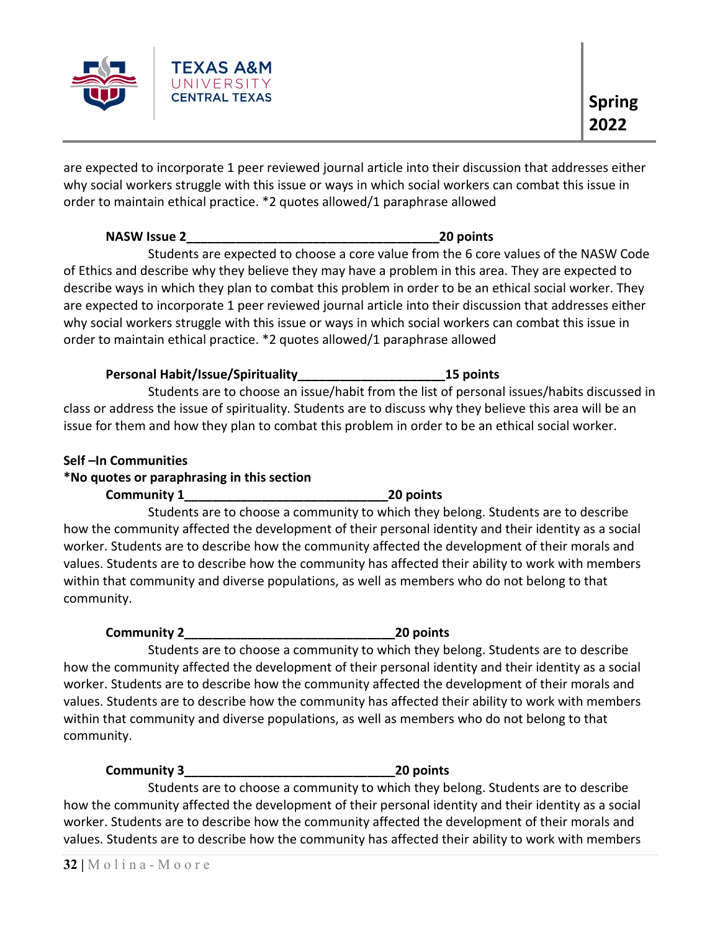

are expected to incorporate 1 peer reviewed journal article into their discussion that addresses either why social workers struggle with this issue or ways in which social workers can combat this issue in order to maintain ethical practice. \*2 quotes allowed/1 paraphrase allowed

#### **NASW Issue 2\_\_\_\_\_\_\_\_\_\_\_\_\_\_\_\_\_\_\_\_\_\_\_\_\_\_\_\_\_\_\_\_\_\_\_\_20 points**

Students are expected to choose a core value from the 6 core values of the NASW Code of Ethics and describe why they believe they may have a problem in this area. They are expected to describe ways in which they plan to combat this problem in order to be an ethical social worker. They are expected to incorporate 1 peer reviewed journal article into their discussion that addresses either why social workers struggle with this issue or ways in which social workers can combat this issue in order to maintain ethical practice. \*2 quotes allowed/1 paraphrase allowed

#### **Personal Habit/Issue/Spirituality\_\_\_\_\_\_\_\_\_\_\_\_\_\_\_\_\_\_\_\_\_15 points**

Students are to choose an issue/habit from the list of personal issues/habits discussed in class or address the issue of spirituality. Students are to discuss why they believe this area will be an issue for them and how they plan to combat this problem in order to be an ethical social worker.

#### **Self –In Communities**

#### **\*No quotes or paraphrasing in this section**

**Community 1\_\_\_\_\_\_\_\_\_\_\_\_\_\_\_\_\_\_\_\_\_\_\_\_\_\_\_\_\_20 points**

Students are to choose a community to which they belong. Students are to describe how the community affected the development of their personal identity and their identity as a social worker. Students are to describe how the community affected the development of their morals and values. Students are to describe how the community has affected their ability to work with members within that community and diverse populations, as well as members who do not belong to that community.

# **Community 2\_\_\_\_\_\_\_\_\_\_\_\_\_\_\_\_\_\_\_\_\_\_\_\_\_\_\_\_\_\_20 points**

Students are to choose a community to which they belong. Students are to describe how the community affected the development of their personal identity and their identity as a social worker. Students are to describe how the community affected the development of their morals and values. Students are to describe how the community has affected their ability to work with members within that community and diverse populations, as well as members who do not belong to that community.

#### **Community 3\_\_\_\_\_\_\_\_\_\_\_\_\_\_\_\_\_\_\_\_\_\_\_\_\_\_\_\_\_\_20 points**

Students are to choose a community to which they belong. Students are to describe how the community affected the development of their personal identity and their identity as a social worker. Students are to describe how the community affected the development of their morals and values. Students are to describe how the community has affected their ability to work with members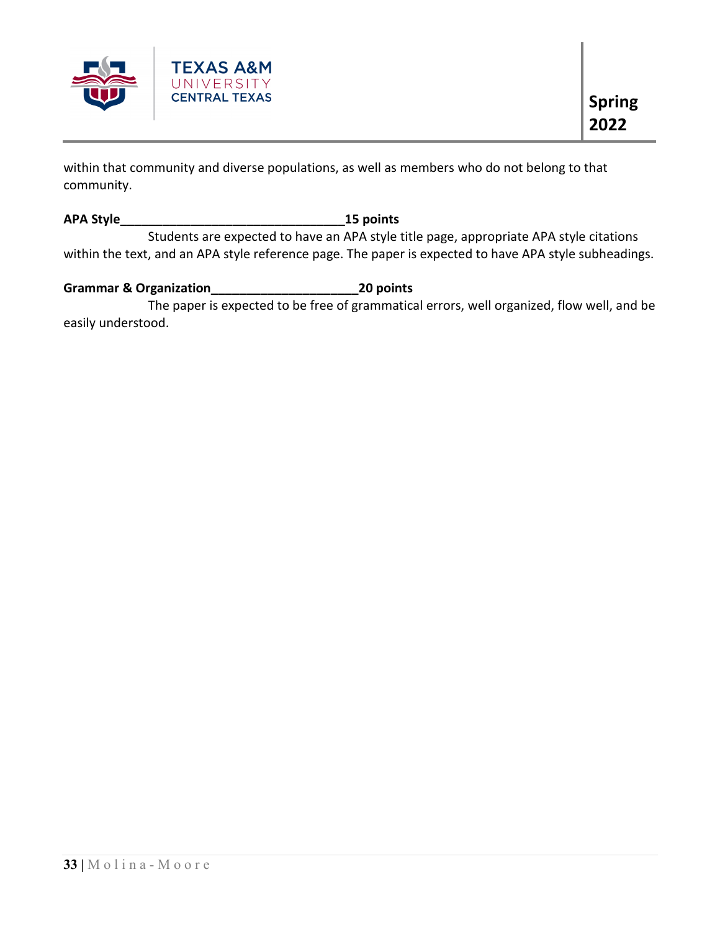

within that community and diverse populations, as well as members who do not belong to that community.

#### **APA Style\_\_\_\_\_\_\_\_\_\_\_\_\_\_\_\_\_\_\_\_\_\_\_\_\_\_\_\_\_\_\_\_15 points**

Students are expected to have an APA style title page, appropriate APA style citations within the text, and an APA style reference page. The paper is expected to have APA style subheadings.

# **Grammar & Organization\_\_\_\_\_\_\_\_\_\_\_\_\_\_\_\_\_\_\_\_\_20 points**

The paper is expected to be free of grammatical errors, well organized, flow well, and be easily understood.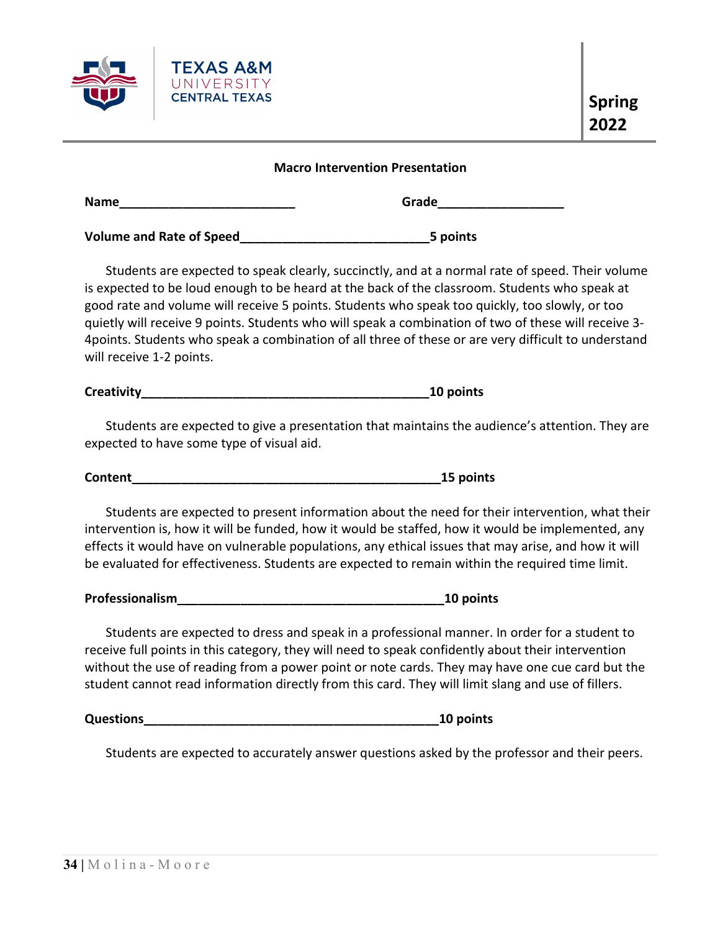

|                                           | <b>Macro Intervention Presentation</b>                                                                                                                                                                                                                                                                                                                                                                                                                                                                            |
|-------------------------------------------|-------------------------------------------------------------------------------------------------------------------------------------------------------------------------------------------------------------------------------------------------------------------------------------------------------------------------------------------------------------------------------------------------------------------------------------------------------------------------------------------------------------------|
|                                           |                                                                                                                                                                                                                                                                                                                                                                                                                                                                                                                   |
|                                           |                                                                                                                                                                                                                                                                                                                                                                                                                                                                                                                   |
| will receive 1-2 points.                  | Students are expected to speak clearly, succinctly, and at a normal rate of speed. Their volume<br>is expected to be loud enough to be heard at the back of the classroom. Students who speak at<br>good rate and volume will receive 5 points. Students who speak too quickly, too slowly, or too<br>quietly will receive 9 points. Students who will speak a combination of two of these will receive 3-<br>4points. Students who speak a combination of all three of these or are very difficult to understand |
| Creativity____                            |                                                                                                                                                                                                                                                                                                                                                                                                                                                                                                                   |
| expected to have some type of visual aid. | Students are expected to give a presentation that maintains the audience's attention. They are                                                                                                                                                                                                                                                                                                                                                                                                                    |
| Content                                   |                                                                                                                                                                                                                                                                                                                                                                                                                                                                                                                   |
|                                           | Students are expected to present information about the need for their intervention, what their<br>intervention is, how it will be funded, how it would be staffed, how it would be implemented, any<br>effects it would have on vulnerable populations, any ethical issues that may arise, and how it will<br>be evaluated for effectiveness. Students are expected to remain within the required time limit.                                                                                                     |
|                                           |                                                                                                                                                                                                                                                                                                                                                                                                                                                                                                                   |
|                                           | Students are expected to dress and speak in a professional manner. In order for a student to<br>receive full points in this category, they will need to speak confidently about their intervention<br>without the use of reading from a power point or note cards. They may have one cue card but the<br>student cannot read information directly from this card. They will limit slang and use of fillers.                                                                                                       |
| Questions 10 points                       |                                                                                                                                                                                                                                                                                                                                                                                                                                                                                                                   |
|                                           | Students are expected to accurately answer questions asked by the professor and their peers.                                                                                                                                                                                                                                                                                                                                                                                                                      |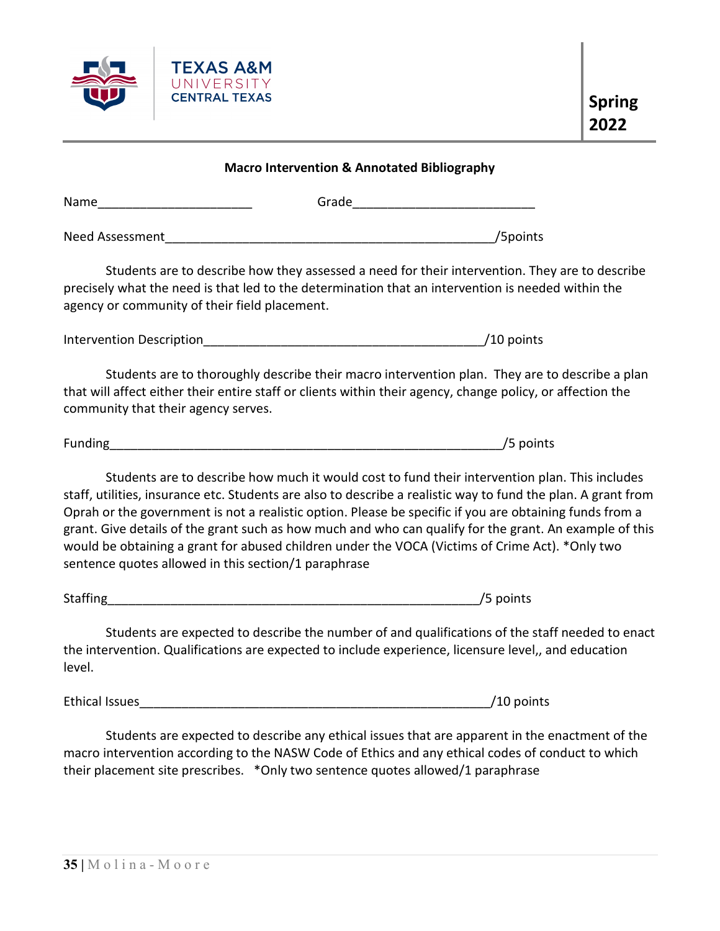

|                                                                                                               | <b>Macro Intervention &amp; Annotated Bibliography</b>                                                                                                                                                                                                                                                                                                                                                                                                                                                                                   |
|---------------------------------------------------------------------------------------------------------------|------------------------------------------------------------------------------------------------------------------------------------------------------------------------------------------------------------------------------------------------------------------------------------------------------------------------------------------------------------------------------------------------------------------------------------------------------------------------------------------------------------------------------------------|
| Name and the state of the state of the state of the state of the state of the state of the state of the state |                                                                                                                                                                                                                                                                                                                                                                                                                                                                                                                                          |
|                                                                                                               | /5points                                                                                                                                                                                                                                                                                                                                                                                                                                                                                                                                 |
| agency or community of their field placement.                                                                 | Students are to describe how they assessed a need for their intervention. They are to describe<br>precisely what the need is that led to the determination that an intervention is needed within the                                                                                                                                                                                                                                                                                                                                     |
|                                                                                                               |                                                                                                                                                                                                                                                                                                                                                                                                                                                                                                                                          |
| community that their agency serves.                                                                           | Students are to thoroughly describe their macro intervention plan. They are to describe a plan<br>that will affect either their entire staff or clients within their agency, change policy, or affection the                                                                                                                                                                                                                                                                                                                             |
|                                                                                                               |                                                                                                                                                                                                                                                                                                                                                                                                                                                                                                                                          |
| sentence quotes allowed in this section/1 paraphrase                                                          | Students are to describe how much it would cost to fund their intervention plan. This includes<br>staff, utilities, insurance etc. Students are also to describe a realistic way to fund the plan. A grant from<br>Oprah or the government is not a realistic option. Please be specific if you are obtaining funds from a<br>grant. Give details of the grant such as how much and who can qualify for the grant. An example of this<br>would be obtaining a grant for abused children under the VOCA (Victims of Crime Act). *Only two |
|                                                                                                               |                                                                                                                                                                                                                                                                                                                                                                                                                                                                                                                                          |
| level.                                                                                                        | Students are expected to describe the number of and qualifications of the staff needed to enact<br>the intervention. Qualifications are expected to include experience, licensure level,, and education                                                                                                                                                                                                                                                                                                                                  |
| <b>Ethical Issues</b>                                                                                         | /10 points                                                                                                                                                                                                                                                                                                                                                                                                                                                                                                                               |
|                                                                                                               | Students are expected to describe any ethical issues that are apparent in the enactment of the<br>macro intervention according to the NASW Code of Ethics and any ethical codes of conduct to which<br>their placement site prescribes. *Only two sentence quotes allowed/1 paraphrase                                                                                                                                                                                                                                                   |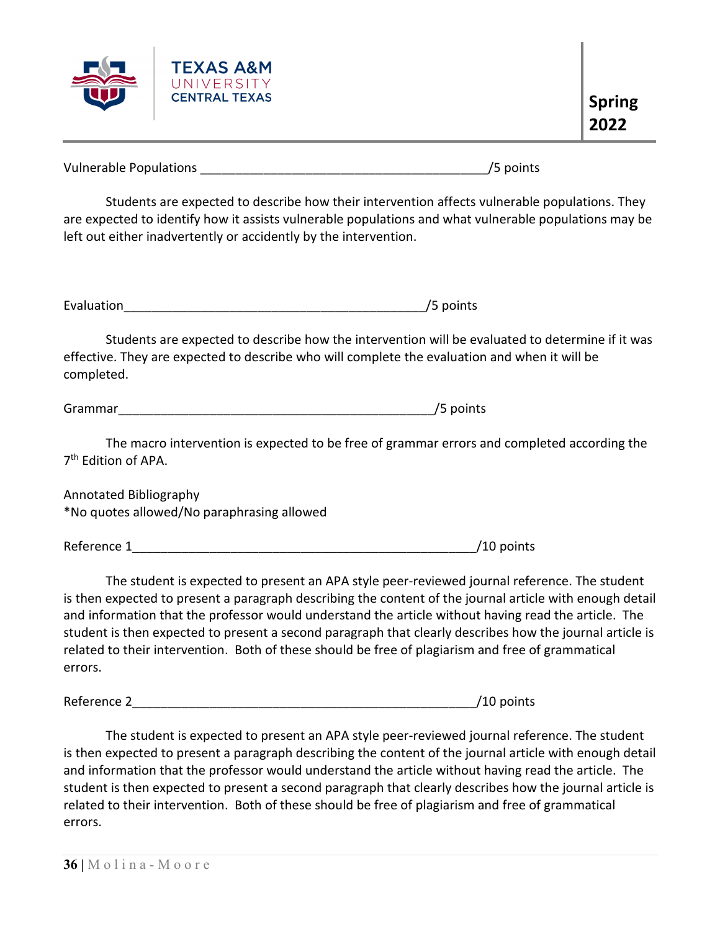

Vulnerable Populations \_\_\_\_\_\_\_\_\_\_\_\_\_\_\_\_\_\_\_\_\_\_\_\_\_\_\_\_\_\_\_\_\_\_\_\_\_\_\_\_\_/5 points

Students are expected to describe how their intervention affects vulnerable populations. They are expected to identify how it assists vulnerable populations and what vulnerable populations may be left out either inadvertently or accidently by the intervention.

Evaluation Figure 2012 12:00 12:00 12:00 12:00 12:00 12:00 12:00 12:00 12:00 12:00 12:00 12:00 12:00 12:00 12:0

Students are expected to describe how the intervention will be evaluated to determine if it was effective. They are expected to describe who will complete the evaluation and when it will be completed.

Grammar\_\_\_\_\_\_\_\_\_\_\_\_\_\_\_\_\_\_\_\_\_\_\_\_\_\_\_\_\_\_\_\_\_\_\_\_\_\_\_\_\_\_\_\_\_/5 points

The macro intervention is expected to be free of grammar errors and completed according the 7<sup>th</sup> Edition of APA.

Annotated Bibliography \*No quotes allowed/No paraphrasing allowed

Reference 1\_\_\_\_\_\_\_\_\_\_\_\_\_\_\_\_\_\_\_\_\_\_\_\_\_\_\_\_\_\_\_\_\_\_\_\_\_\_\_\_\_\_\_\_\_\_\_\_\_/10 points

The student is expected to present an APA style peer-reviewed journal reference. The student is then expected to present a paragraph describing the content of the journal article with enough detail and information that the professor would understand the article without having read the article. The student is then expected to present a second paragraph that clearly describes how the journal article is related to their intervention. Both of these should be free of plagiarism and free of grammatical errors.

Reference 2 and  $/10$  points

The student is expected to present an APA style peer-reviewed journal reference. The student is then expected to present a paragraph describing the content of the journal article with enough detail and information that the professor would understand the article without having read the article. The student is then expected to present a second paragraph that clearly describes how the journal article is related to their intervention. Both of these should be free of plagiarism and free of grammatical errors.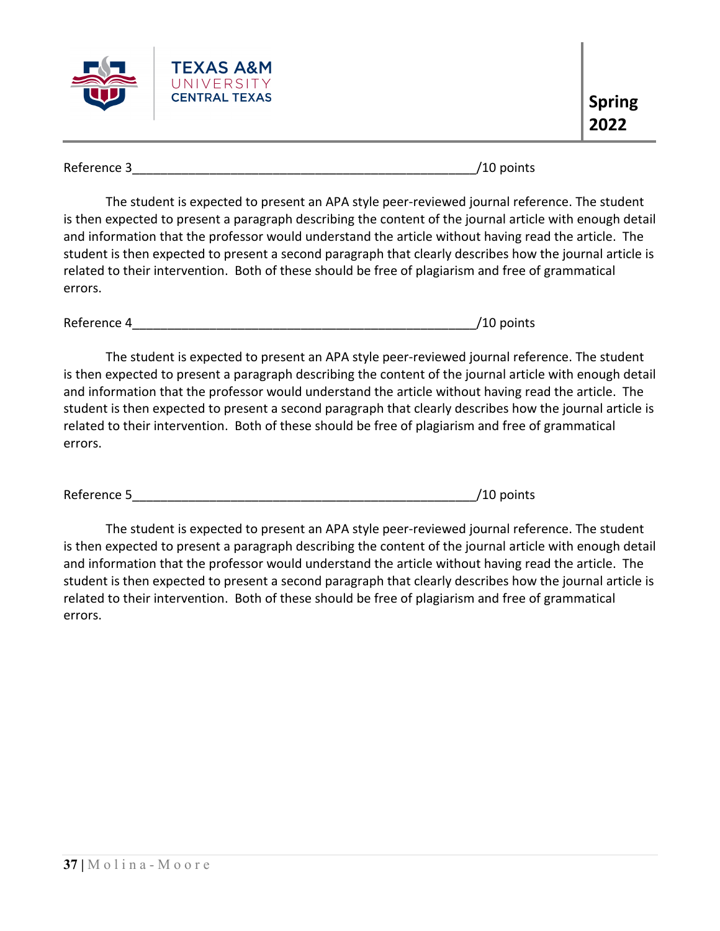

Reference 3 and the set of the set of the set of the set of the set of the set of the set of the set of the set of the set of the set of the set of the set of the set of the set of the set of the set of the set of the set

The student is expected to present an APA style peer-reviewed journal reference. The student is then expected to present a paragraph describing the content of the journal article with enough detail and information that the professor would understand the article without having read the article. The student is then expected to present a second paragraph that clearly describes how the journal article is related to their intervention. Both of these should be free of plagiarism and free of grammatical errors.

Reference 4 and a set of the set of the set of the set of the set of the set of the set of the set of the set of the set of the set of the set of the set of the set of the set of the set of the set of the set of the set of

The student is expected to present an APA style peer-reviewed journal reference. The student is then expected to present a paragraph describing the content of the journal article with enough detail and information that the professor would understand the article without having read the article. The student is then expected to present a second paragraph that clearly describes how the journal article is related to their intervention. Both of these should be free of plagiarism and free of grammatical errors.

Reference 5\_\_\_\_\_\_\_\_\_\_\_\_\_\_\_\_\_\_\_\_\_\_\_\_\_\_\_\_\_\_\_\_\_\_\_\_\_\_\_\_\_\_\_\_\_\_\_\_\_/10 points

The student is expected to present an APA style peer-reviewed journal reference. The student is then expected to present a paragraph describing the content of the journal article with enough detail and information that the professor would understand the article without having read the article. The student is then expected to present a second paragraph that clearly describes how the journal article is related to their intervention. Both of these should be free of plagiarism and free of grammatical errors.